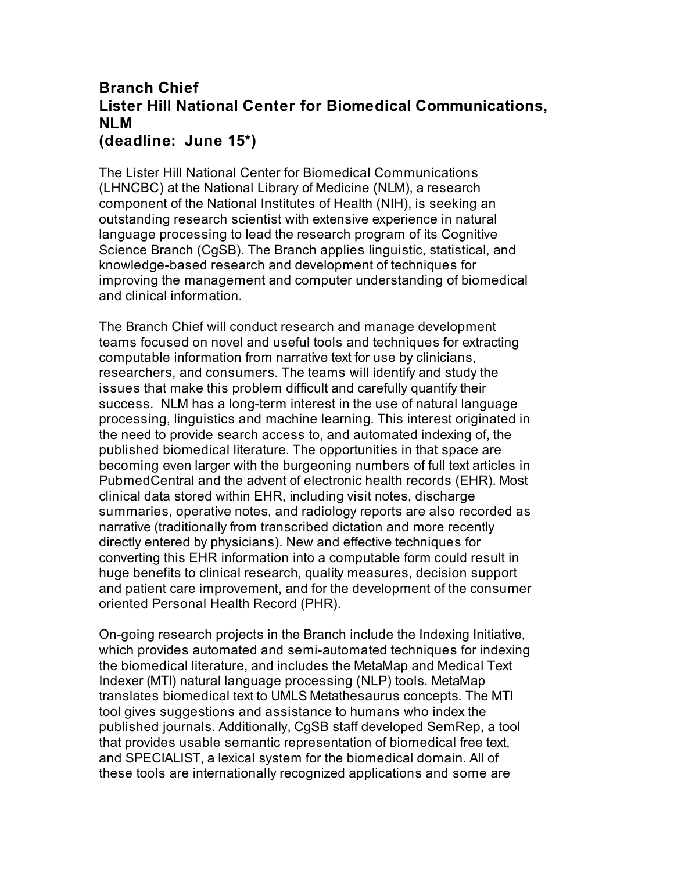## **Branch Chief Lister Hill National Center for Biomedical Communications, NLM (deadline: June 15\*)**

The Lister Hill National Center for Biomedical Communications (LHNCBC) at the National Library of Medicine (NLM), a research component of the National Institutes of Health (NIH), is seeking an outstanding research scientist with extensive experience in natural language processing to lead the research program of its Cognitive Science Branch (CgSB). The Branch applies linguistic, statistical, and knowledge-based research and development of techniques for improving the management and computer understanding of biomedical and clinical information.

The Branch Chief will conduct research and manage development teams focused on novel and useful tools and techniques for extracting computable information from narrative text for use by clinicians, researchers, and consumers. The teams will identify and study the issues that make this problem difficult and carefully quantify their success. NLM has a long-term interest in the use of natural language processing, linguistics and machine learning. This interest originated in the need to provide search access to, and automated indexing of, the published biomedical literature. The opportunities in that space are becoming even larger with the burgeoning numbers of full text articles in PubmedCentral and the advent of electronic health records (EHR). Most clinical data stored within EHR, including visit notes, discharge summaries, operative notes, and radiology reports are also recorded as narrative (traditionally from transcribed dictation and more recently directly entered by physicians). New and effective techniques for converting this EHR information into a computable form could result in huge benefits to clinical research, quality measures, decision support and patient care improvement, and for the development of the consumer oriented Personal Health Record (PHR).

On-going research projects in the Branch include the Indexing Initiative, which provides automated and semi-automated techniques for indexing the biomedical literature, and includes the MetaMap and Medical Text Indexer (MTI) natural language processing (NLP) tools. MetaMap translates biomedical text to UMLS Metathesaurus concepts. The MTI tool gives suggestions and assistance to humans who index the published journals. Additionally, CgSB staff developed SemRep, a tool that provides usable semantic representation of biomedical free text, and SPECIALIST, a lexical system for the biomedical domain. All of these tools are internationally recognized applications and some are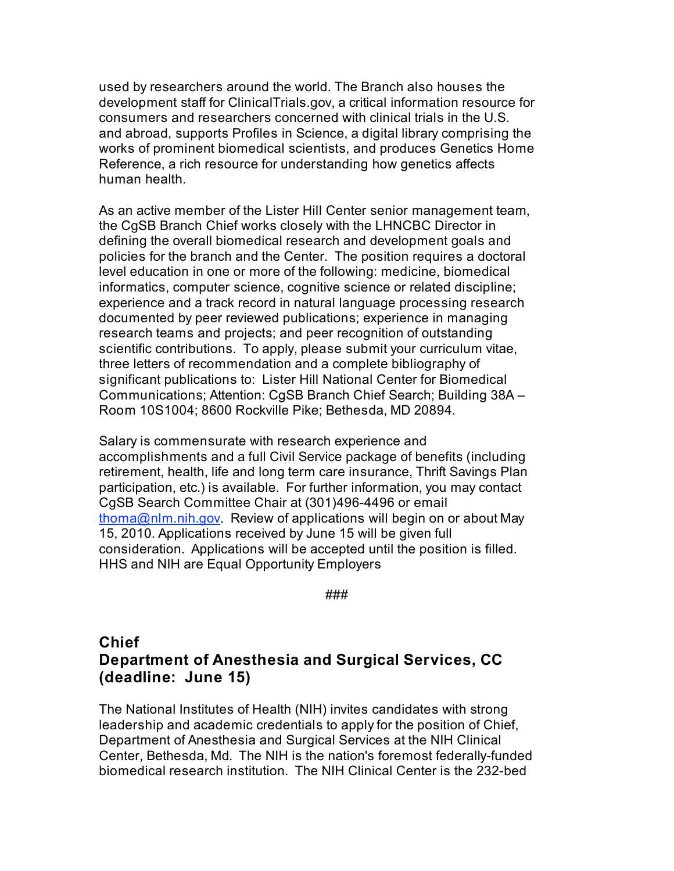used by researchers around the world. The Branch also houses the development staff for ClinicalTrials.gov, a critical information resource for consumers and researchers concerned with clinical trials in the U.S. and abroad, supports Profiles in Science, a digital library comprising the works of prominent biomedical scientists, and produces Genetics Home Reference, a rich resource for understanding how genetics affects human health.

As an active member of the Lister Hill Center senior management team, the CgSB Branch Chief works closely with the LHNCBC Director in defining the overall biomedical research and development goals and policies for the branch and the Center. The position requires a doctoral level education in one or more of the following: medicine, biomedical informatics, computer science, cognitive science or related discipline; experience and a track record in natural language processing research documented by peer reviewed publications; experience in managing research teams and projects; and peer recognition of outstanding scientific contributions. To apply, please submit your curriculum vitae, three letters of recommendation and a complete bibliography of significant publications to: Lister Hill National Center for Biomedical Communications; Attention: CgSB Branch Chief Search; Building 38A – Room 10S1004; 8600 Rockville Pike; Bethesda, MD 20894.

Salary is commensurate with research experience and accomplishments and a full Civil Service package of benefits (including retirement, health, life and long term care insurance, Thrift Savings Plan participation, etc.) is available. For further information, you may contact CgSB Search Committee Chair at (301)496-4496 or email thoma@nlm.nih.gov. Review of applications will begin on or about May 15, 2010. Applications received by June 15 will be given full consideration. Applications will be accepted until the position is filled. HHS and NIH are Equal Opportunity Employers

###

# **Chief Department of Anesthesia and Surgical Services, CC (deadline: June 15)**

The National Institutes of Health (NIH) invites candidates with strong leadership and academic credentials to apply for the position of Chief, Department of Anesthesia and Surgical Services at the NIH Clinical Center, Bethesda, Md. The NIH is the nation's foremost federally-funded biomedical research institution. The NIH Clinical Center is the 232-bed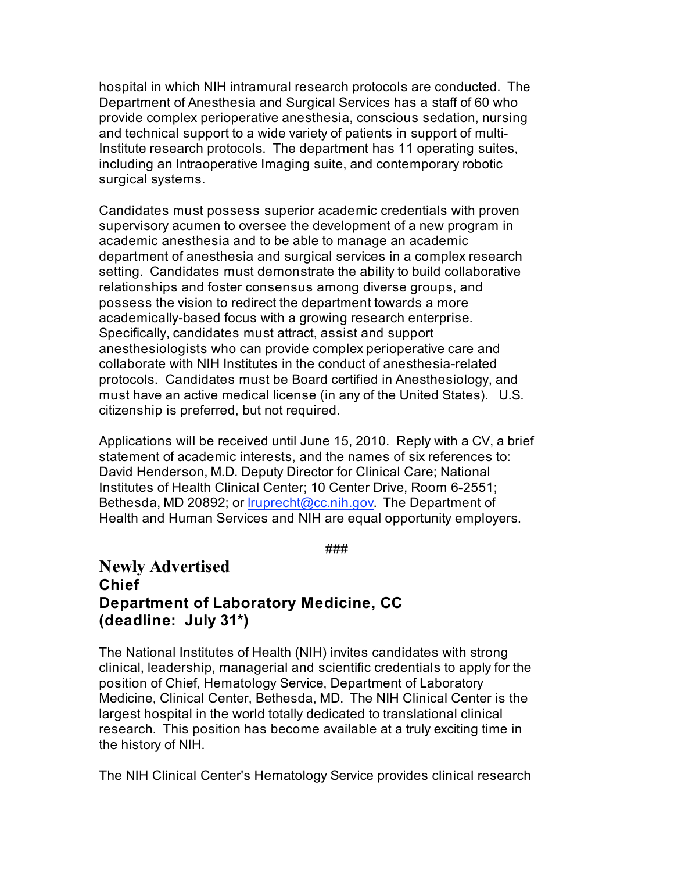hospital in which NIH intramural research protocols are conducted. The Department of Anesthesia and Surgical Services has a staff of 60 who provide complex perioperative anesthesia, conscious sedation, nursing and technical support to a wide variety of patients in support of multi-Institute research protocols. The department has 11 operating suites, including an Intraoperative Imaging suite, and contemporary robotic surgical systems.

Candidates must possess superior academic credentials with proven supervisory acumen to oversee the development of a new program in academic anesthesia and to be able to manage an academic department of anesthesia and surgical services in a complex research setting. Candidates must demonstrate the ability to build collaborative relationships and foster consensus among diverse groups, and possess the vision to redirect the department towards a more academically-based focus with a growing research enterprise. Specifically, candidates must attract, assist and support anesthesiologists who can provide complex perioperative care and collaborate with NIH Institutes in the conduct of anesthesia-related protocols. Candidates must be Board certified in Anesthesiology, and must have an active medical license (in any of the United States). U.S. citizenship is preferred, but not required.

Applications will be received until June 15, 2010. Reply with a CV, a brief statement of academic interests, and the names of six references to: David Henderson, M.D. Deputy Director for Clinical Care; National Institutes of Health Clinical Center; 10 Center Drive, Room 6-2551; Bethesda, MD 20892; or *Iruprecht@cc.nih.gov.* The Department of Health and Human Services and NIH are equal opportunity employers.

###

## **Newly Advertised Chief Department of Laboratory Medicine, CC (deadline: July 31\*)**

The National Institutes of Health (NIH) invites candidates with strong clinical, leadership, managerial and scientific credentials to apply for the position of Chief, Hematology Service, Department of Laboratory Medicine, Clinical Center, Bethesda, MD. The NIH Clinical Center is the largest hospital in the world totally dedicated to translational clinical research. This position has become available at a truly exciting time in the history of NIH.

The NIH Clinical Center's Hematology Service provides clinical research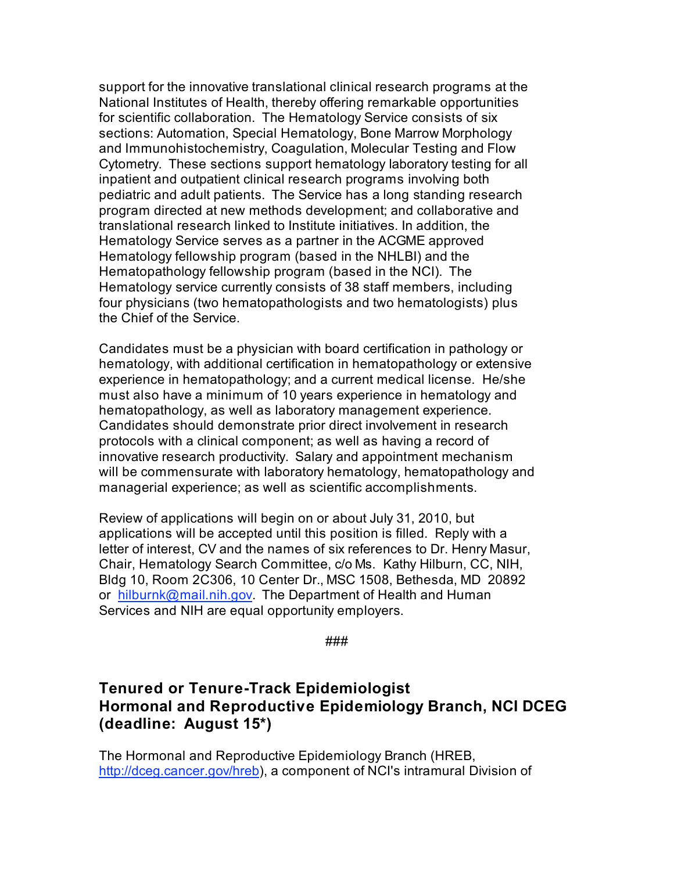support for the innovative translational clinical research programs at the National Institutes of Health, thereby offering remarkable opportunities for scientific collaboration. The Hematology Service consists of six sections: Automation, Special Hematology, Bone Marrow Morphology and Immunohistochemistry, Coagulation, Molecular Testing and Flow Cytometry. These sections support hematology laboratory testing for all inpatient and outpatient clinical research programs involving both pediatric and adult patients. The Service has a long standing research program directed at new methods development; and collaborative and translational research linked to Institute initiatives. In addition, the Hematology Service serves as a partner in the ACGME approved Hematology fellowship program (based in the NHLBI) and the Hematopathology fellowship program (based in the NCI). The Hematology service currently consists of 38 staff members, including four physicians (two hematopathologists and two hematologists) plus the Chief of the Service.

Candidates must be a physician with board certification in pathology or hematology, with additional certification in hematopathology or extensive experience in hematopathology; and a current medical license. He/she must also have a minimum of 10 years experience in hematology and hematopathology, as well as laboratory management experience. Candidates should demonstrate prior direct involvement in research protocols with a clinical component; as well as having a record of innovative research productivity. Salary and appointment mechanism will be commensurate with laboratory hematology, hematopathology and managerial experience; as well as scientific accomplishments.

Review of applications will begin on or about July 31, 2010, but applications will be accepted until this position is filled. Reply with a letter of interest, CV and the names of six references to Dr. Henry Masur, Chair, Hematology Search Committee, c/o Ms. Kathy Hilburn, CC, NIH, Bldg 10, Room 2C306, 10 Center Dr., MSC 1508, Bethesda, MD 20892 or hilburnk@mail.nih.gov. The Department of Health and Human Services and NIH are equal opportunity employers.

###

## **Tenured or Tenure-Track Epidemiologist Hormonal and Reproductive Epidemiology Branch, NCI DCEG (deadline: August 15\*)**

The Hormonal and Reproductive Epidemiology Branch (HREB, http://dceg.cancer.gov/hreb), a component of NCI's intramural Division of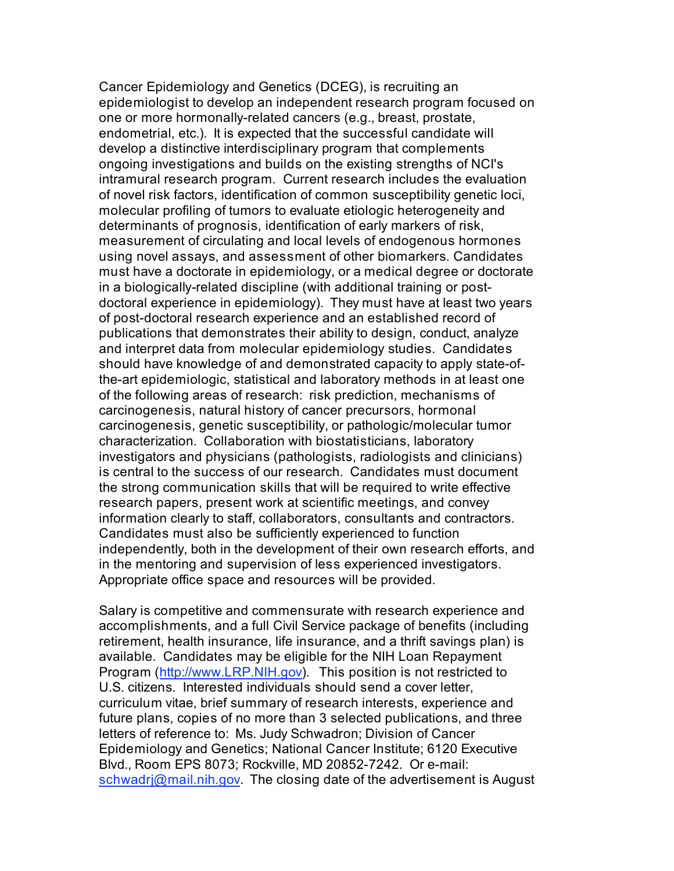Cancer Epidemiology and Genetics (DCEG), is recruiting an epidemiologist to develop an independent research program focused on one or more hormonally-related cancers (e.g., breast, prostate, endometrial, etc.). It is expected that the successful candidate will develop a distinctive interdisciplinary program that complements ongoing investigations and builds on the existing strengths of NCI's intramural research program. Current research includes the evaluation of novel risk factors, identification of common susceptibility genetic loci, molecular profiling of tumors to evaluate etiologic heterogeneity and determinants of prognosis, identification of early markers of risk, measurement of circulating and local levels of endogenous hormones using novel assays, and assessment of other biomarkers. Candidates must have a doctorate in epidemiology, or a medical degree or doctorate in a biologically-related discipline (with additional training or postdoctoral experience in epidemiology). They must have at least two years of post-doctoral research experience and an established record of publications that demonstrates their ability to design, conduct, analyze and interpret data from molecular epidemiology studies. Candidates should have knowledge of and demonstrated capacity to apply state-ofthe-art epidemiologic, statistical and laboratory methods in at least one of the following areas of research: risk prediction, mechanisms of carcinogenesis, natural history of cancer precursors, hormonal carcinogenesis, genetic susceptibility, or pathologic/molecular tumor characterization. Collaboration with biostatisticians, laboratory investigators and physicians (pathologists, radiologists and clinicians) is central to the success of our research. Candidates must document the strong communication skills that will be required to write effective research papers, present work at scientific meetings, and convey information clearly to staff, collaborators, consultants and contractors. Candidates must also be sufficiently experienced to function independently, both in the development of their own research efforts, and in the mentoring and supervision of less experienced investigators. Appropriate office space and resources will be provided.

Salary is competitive and commensurate with research experience and accomplishments, and a full Civil Service package of benefits (including retirement, health insurance, life insurance, and a thrift savings plan) is available. Candidates may be eligible for the NIH Loan Repayment Program (http://www.LRP.NIH.gov). This position is not restricted to U.S. citizens. Interested individuals should send a cover letter, curriculum vitae, brief summary of research interests, experience and future plans, copies of no more than 3 selected publications, and three letters of reference to: Ms. Judy Schwadron; Division of Cancer Epidemiology and Genetics; National Cancer Institute; 6120 Executive Blvd., Room EPS 8073; Rockville, MD 20852-7242. Or e-mail: schwadri@mail.nih.gov. The closing date of the advertisement is August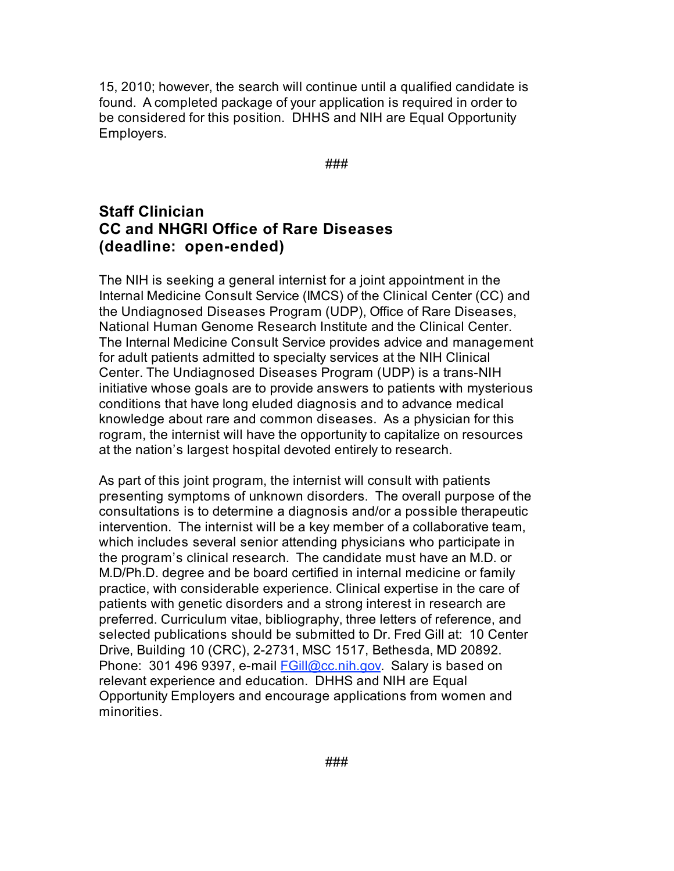15, 2010; however, the search will continue until a qualified candidate is found. A completed package of your application is required in order to be considered for this position. DHHS and NIH are Equal Opportunity Employers.

###

### **Staff Clinician CC and NHGRI Office of Rare Diseases (deadline: open-ended)**

The NIH is seeking a general internist for a joint appointment in the Internal Medicine Consult Service (IMCS) of the Clinical Center (CC) and the Undiagnosed Diseases Program (UDP), Office of Rare Diseases, National Human Genome Research Institute and the Clinical Center. The Internal Medicine Consult Service provides advice and management for adult patients admitted to specialty services at the NIH Clinical Center. The Undiagnosed Diseases Program (UDP) is a trans-NIH initiative whose goals are to provide answers to patients with mysterious conditions that have long eluded diagnosis and to advance medical knowledge about rare and common diseases. As a physician for this rogram, the internist will have the opportunity to capitalize on resources at the nation's largest hospital devoted entirely to research.

As part of this joint program, the internist will consult with patients presenting symptoms of unknown disorders. The overall purpose of the consultations is to determine a diagnosis and/or a possible therapeutic intervention. The internist will be a key member of a collaborative team, which includes several senior attending physicians who participate in the program's clinical research. The candidate must have an M.D. or M.D/Ph.D. degree and be board certified in internal medicine or family practice, with considerable experience. Clinical expertise in the care of patients with genetic disorders and a strong interest in research are preferred. Curriculum vitae, bibliography, three letters of reference, and selected publications should be submitted to Dr. Fred Gill at: 10 Center Drive, Building 10 (CRC), 2-2731, MSC 1517, Bethesda, MD 20892. Phone: 301 496 9397, e-mail FGill@cc.nih.gov. Salary is based on relevant experience and education. DHHS and NIH are Equal Opportunity Employers and encourage applications from women and minorities.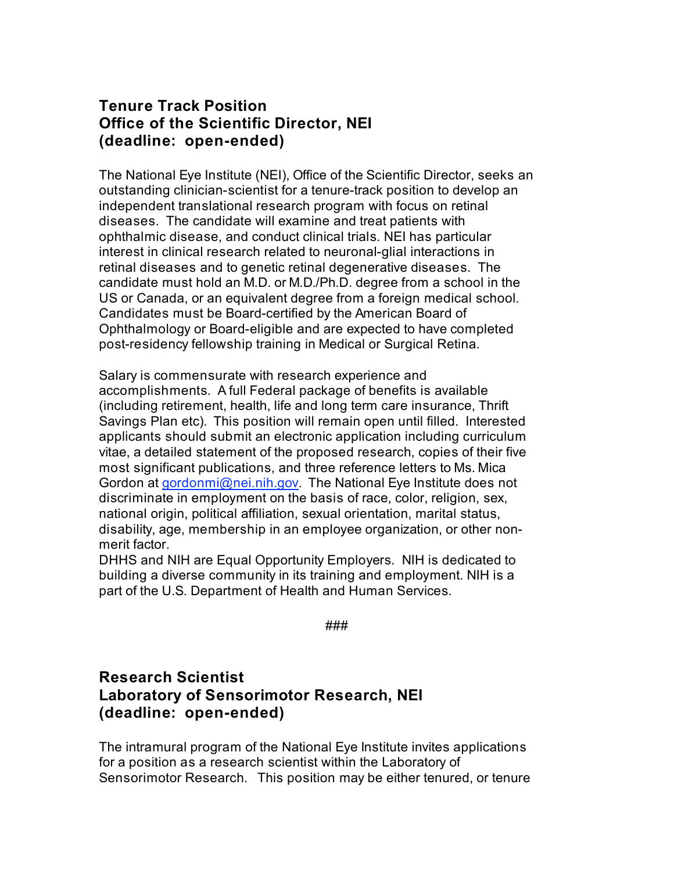### **Tenure Track Position Office of the Scientific Director, NEI (deadline: open-ended)**

The National Eye Institute (NEI), Office of the Scientific Director, seeks an outstanding clinician-scientist for a tenure-track position to develop an independent translational research program with focus on retinal diseases. The candidate will examine and treat patients with ophthalmic disease, and conduct clinical trials. NEI has particular interest in clinical research related to neuronal-glial interactions in retinal diseases and to genetic retinal degenerative diseases. The candidate must hold an M.D. or M.D./Ph.D. degree from a school in the US or Canada, or an equivalent degree from a foreign medical school. Candidates must be Board-certified by the American Board of Ophthalmology or Board-eligible and are expected to have completed post-residency fellowship training in Medical or Surgical Retina.

Salary is commensurate with research experience and accomplishments. A full Federal package of benefits is available (including retirement, health, life and long term care insurance, Thrift Savings Plan etc). This position will remain open until filled. Interested applicants should submit an electronic application including curriculum vitae, a detailed statement of the proposed research, copies of their five most significant publications, and three reference letters to Ms. Mica Gordon at gordonmi@nei.nih.gov. The National Eye Institute does not discriminate in employment on the basis of race, color, religion, sex, national origin, political affiliation, sexual orientation, marital status, disability, age, membership in an employee organization, or other nonmerit factor.

DHHS and NIH are Equal Opportunity Employers. NIH is dedicated to building a diverse community in its training and employment. NIH is a part of the U.S. Department of Health and Human Services.

###

## **Research Scientist Laboratory of Sensorimotor Research, NEI (deadline: open-ended)**

The intramural program of the National Eye Institute invites applications for a position as a research scientist within the Laboratory of Sensorimotor Research. This position may be either tenured, or tenure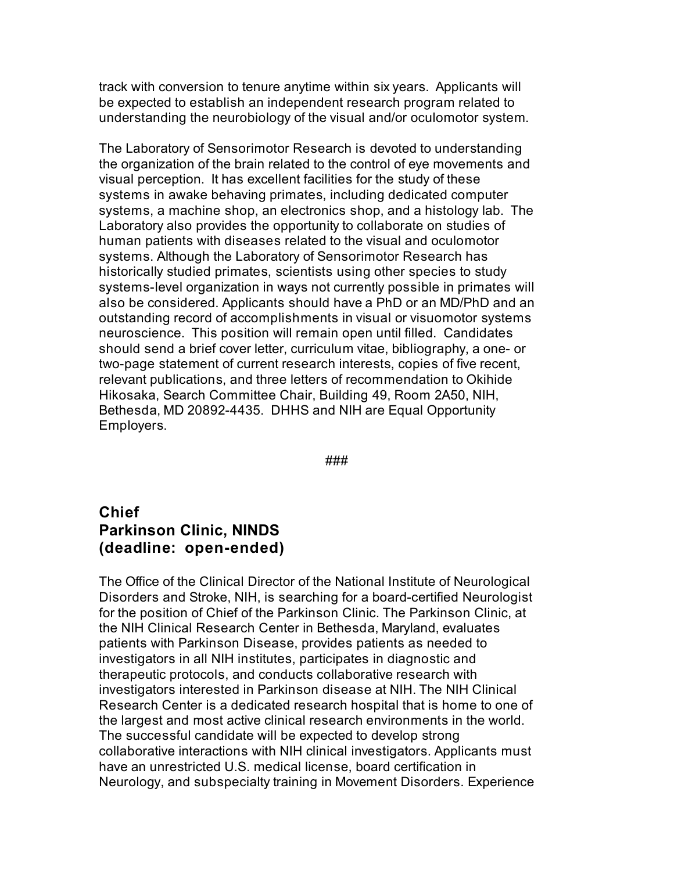track with conversion to tenure anytime within six years. Applicants will be expected to establish an independent research program related to understanding the neurobiology of the visual and/or oculomotor system.

The Laboratory of Sensorimotor Research is devoted to understanding the organization of the brain related to the control of eye movements and visual perception. It has excellent facilities for the study of these systems in awake behaving primates, including dedicated computer systems, a machine shop, an electronics shop, and a histology lab. The Laboratory also provides the opportunity to collaborate on studies of human patients with diseases related to the visual and oculomotor systems. Although the Laboratory of Sensorimotor Research has historically studied primates, scientists using other species to study systems-level organization in ways not currently possible in primates will also be considered. Applicants should have a PhD or an MD/PhD and an outstanding record of accomplishments in visual or visuomotor systems neuroscience. This position will remain open until filled. Candidates should send a brief cover letter, curriculum vitae, bibliography, a one- or two-page statement of current research interests, copies of five recent, relevant publications, and three letters of recommendation to Okihide Hikosaka, Search Committee Chair, Building 49, Room 2A50, NIH, Bethesda, MD 20892-4435. DHHS and NIH are Equal Opportunity Employers.

###

# **Chief Parkinson Clinic, NINDS (deadline: open-ended)**

The Office of the Clinical Director of the National Institute of Neurological Disorders and Stroke, NIH, is searching for a board-certified Neurologist for the position of Chief of the Parkinson Clinic. The Parkinson Clinic, at the NIH Clinical Research Center in Bethesda, Maryland, evaluates patients with Parkinson Disease, provides patients as needed to investigators in all NIH institutes, participates in diagnostic and therapeutic protocols, and conducts collaborative research with investigators interested in Parkinson disease at NIH. The NIH Clinical Research Center is a dedicated research hospital that is home to one of the largest and most active clinical research environments in the world. The successful candidate will be expected to develop strong collaborative interactions with NIH clinical investigators. Applicants must have an unrestricted U.S. medical license, board certification in Neurology, and subspecialty training in Movement Disorders. Experience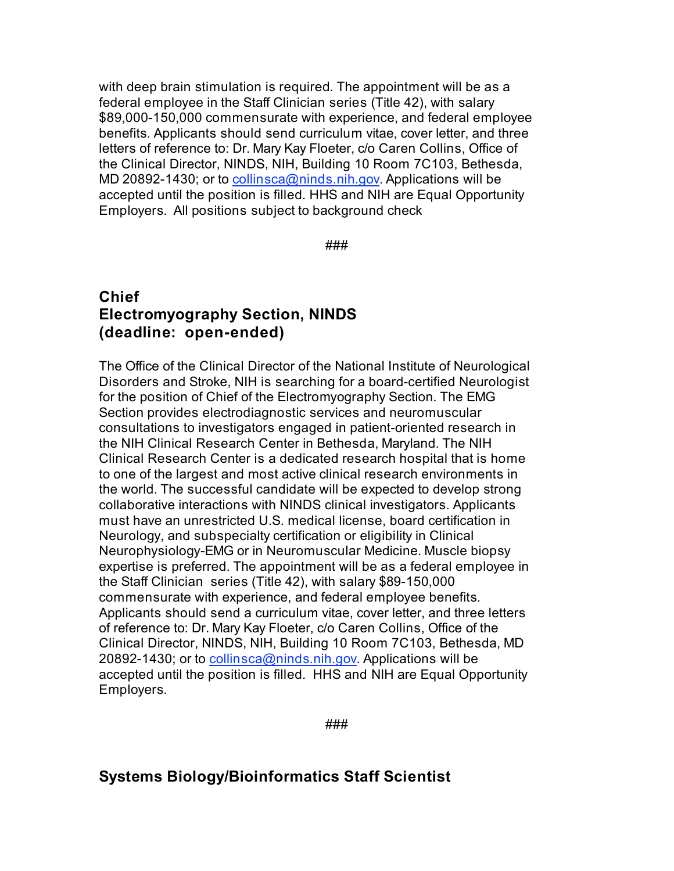with deep brain stimulation is required. The appointment will be as a federal employee in the Staff Clinician series (Title 42), with salary \$89,000-150,000 commensurate with experience, and federal employee benefits. Applicants should send curriculum vitae, cover letter, and three letters of reference to: Dr. Mary Kay Floeter, c/o Caren Collins, Office of the Clinical Director, NINDS, NIH, Building 10 Room 7C103, Bethesda, MD 20892-1430; or to collinsca@ninds.nih.gov. Applications will be accepted until the position is filled. HHS and NIH are Equal Opportunity Employers. All positions subject to background check

###

## **Chief Electromyography Section, NINDS (deadline: open-ended)**

The Office of the Clinical Director of the National Institute of Neurological Disorders and Stroke, NIH is searching for a board-certified Neurologist for the position of Chief of the Electromyography Section. The EMG Section provides electrodiagnostic services and neuromuscular consultations to investigators engaged in patient-oriented research in the NIH Clinical Research Center in Bethesda, Maryland. The NIH Clinical Research Center is a dedicated research hospital that is home to one of the largest and most active clinical research environments in the world. The successful candidate will be expected to develop strong collaborative interactions with NINDS clinical investigators. Applicants must have an unrestricted U.S. medical license, board certification in Neurology, and subspecialty certification or eligibility in Clinical Neurophysiology-EMG or in Neuromuscular Medicine. Muscle biopsy expertise is preferred. The appointment will be as a federal employee in the Staff Clinician series (Title 42), with salary \$89-150,000 commensurate with experience, and federal employee benefits. Applicants should send a curriculum vitae, cover letter, and three letters of reference to: Dr. Mary Kay Floeter, c/o Caren Collins, Office of the Clinical Director, NINDS, NIH, Building 10 Room 7C103, Bethesda, MD 20892-1430; or to collinsca@ninds.nih.gov. Applications will be accepted until the position is filled. HHS and NIH are Equal Opportunity Employers.

###

# **Systems Biology/Bioinformatics Staff Scientist**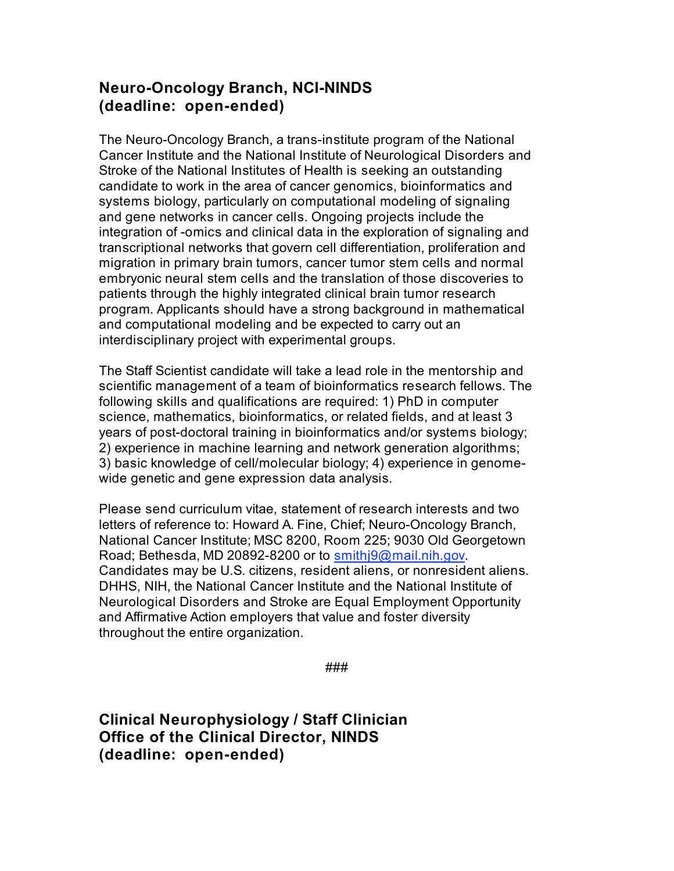## **Neuro-Oncology Branch, NCI-NINDS (deadline: open-ended)**

The Neuro-Oncology Branch, a trans-institute program of the National Cancer Institute and the National Institute of Neurological Disorders and Stroke of the National Institutes of Health is seeking an outstanding candidate to work in the area of cancer genomics, bioinformatics and systems biology, particularly on computational modeling of signaling and gene networks in cancer cells. Ongoing projects include the integration of -omics and clinical data in the exploration of signaling and transcriptional networks that govern cell differentiation, proliferation and migration in primary brain tumors, cancer tumor stem cells and normal embryonic neural stem cells and the translation of those discoveries to patients through the highly integrated clinical brain tumor research program. Applicants should have a strong background in mathematical and computational modeling and be expected to carry out an interdisciplinary project with experimental groups.

The Staff Scientist candidate will take a lead role in the mentorship and scientific management of a team of bioinformatics research fellows. The following skills and qualifications are required: 1) PhD in computer science, mathematics, bioinformatics, or related fields, and at least 3 years of post-doctoral training in bioinformatics and/or systems biology; 2) experience in machine learning and network generation algorithms; 3) basic knowledge of cell/molecular biology; 4) experience in genomewide genetic and gene expression data analysis.

Please send curriculum vitae, statement of research interests and two letters of reference to: Howard A. Fine, Chief; Neuro-Oncology Branch, National Cancer Institute; MSC 8200, Room 225; 9030 Old Georgetown Road; Bethesda, MD 20892-8200 or to smithj9@mail.nih.gov. Candidates may be U.S. citizens, resident aliens, or nonresident aliens. DHHS, NIH, the National Cancer Institute and the National Institute of Neurological Disorders and Stroke are Equal Employment Opportunity and Affirmative Action employers that value and foster diversity throughout the entire organization.

###

**Clinical Neurophysiology / Staff Clinician Office of the Clinical Director, NINDS (deadline: open-ended)**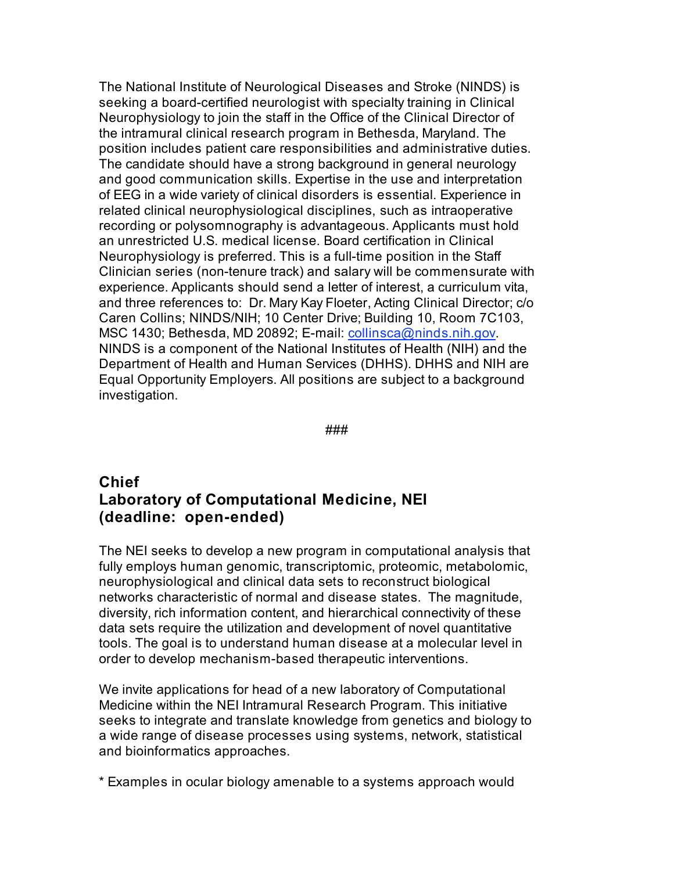The National Institute of Neurological Diseases and Stroke (NINDS) is seeking a board-certified neurologist with specialty training in Clinical Neurophysiology to join the staff in the Office of the Clinical Director of the intramural clinical research program in Bethesda, Maryland. The position includes patient care responsibilities and administrative duties. The candidate should have a strong background in general neurology and good communication skills. Expertise in the use and interpretation of EEG in a wide variety of clinical disorders is essential. Experience in related clinical neurophysiological disciplines, such as intraoperative recording or polysomnography is advantageous. Applicants must hold an unrestricted U.S. medical license. Board certification in Clinical Neurophysiology is preferred. This is a full-time position in the Staff Clinician series (non-tenure track) and salary will be commensurate with experience. Applicants should send a letter of interest, a curriculum vita, and three references to: Dr. Mary Kay Floeter, Acting Clinical Director; c/o Caren Collins; NINDS/NIH; 10 Center Drive; Building 10, Room 7C103, MSC 1430; Bethesda, MD 20892; E-mail: collinsca@ninds.nih.gov. NINDS is a component of the National Institutes of Health (NIH) and the Department of Health and Human Services (DHHS). DHHS and NIH are Equal Opportunity Employers. All positions are subject to a background investigation.

###

# **Chief Laboratory of Computational Medicine, NEI (deadline: open-ended)**

The NEI seeks to develop a new program in computational analysis that fully employs human genomic, transcriptomic, proteomic, metabolomic, neurophysiological and clinical data sets to reconstruct biological networks characteristic of normal and disease states. The magnitude, diversity, rich information content, and hierarchical connectivity of these data sets require the utilization and development of novel quantitative tools. The goal is to understand human disease at a molecular level in order to develop mechanism-based therapeutic interventions.

We invite applications for head of a new laboratory of Computational Medicine within the NEI Intramural Research Program. This initiative seeks to integrate and translate knowledge from genetics and biology to a wide range of disease processes using systems, network, statistical and bioinformatics approaches.

\* Examples in ocular biology amenable to a systems approach would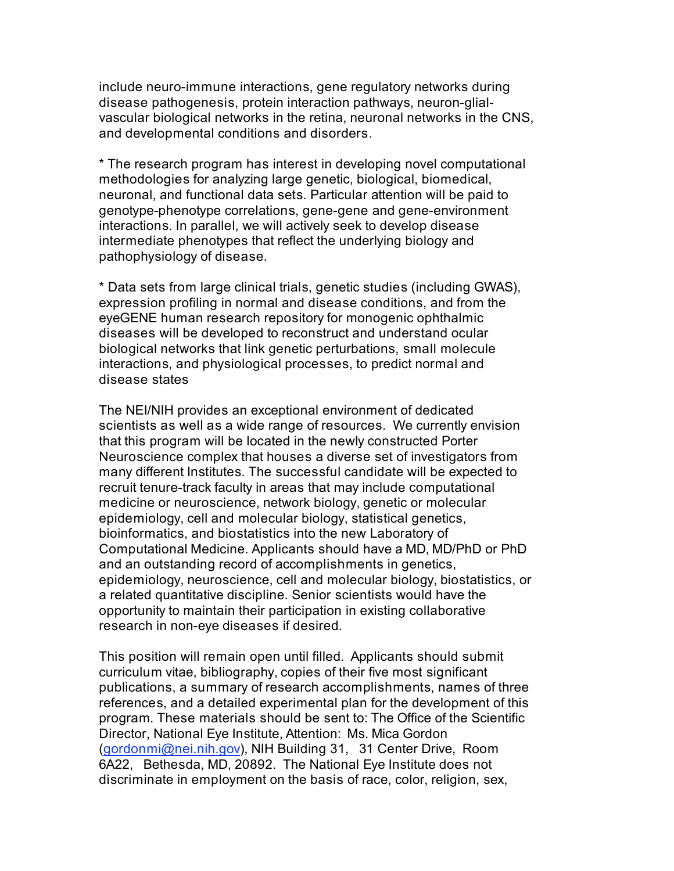include neuro-immune interactions, gene regulatory networks during disease pathogenesis, protein interaction pathways, neuron-glialvascular biological networks in the retina, neuronal networks in the CNS, and developmental conditions and disorders.

\* The research program has interest in developing novel computational methodologies for analyzing large genetic, biological, biomedical, neuronal, and functional data sets. Particular attention will be paid to genotype-phenotype correlations, gene-gene and gene-environment interactions. In parallel, we will actively seek to develop disease intermediate phenotypes that reflect the underlying biology and pathophysiology of disease.

\* Data sets from large clinical trials, genetic studies (including GWAS), expression profiling in normal and disease conditions, and from the eyeGENE human research repository for monogenic ophthalmic diseases will be developed to reconstruct and understand ocular biological networks that link genetic perturbations, small molecule interactions, and physiological processes, to predict normal and disease states

The NEI/NIH provides an exceptional environment of dedicated scientists as well as a wide range of resources. We currently envision that this program will be located in the newly constructed Porter Neuroscience complex that houses a diverse set of investigators from many different Institutes. The successful candidate will be expected to recruit tenure-track faculty in areas that may include computational medicine or neuroscience, network biology, genetic or molecular epidemiology, cell and molecular biology, statistical genetics, bioinformatics, and biostatistics into the new Laboratory of Computational Medicine. Applicants should have a MD, MD/PhD or PhD and an outstanding record of accomplishments in genetics, epidemiology, neuroscience, cell and molecular biology, biostatistics, or a related quantitative discipline. Senior scientists would have the opportunity to maintain their participation in existing collaborative research in non-eye diseases if desired.

This position will remain open until filled. Applicants should submit curriculum vitae, bibliography, copies of their five most significant publications, a summary of research accomplishments, names of three references, and a detailed experimental plan for the development of this program. These materials should be sent to: The Office of the Scientific Director, National Eye Institute, Attention: Ms. Mica Gordon (gordonmi@nei.nih.gov), NIH Building 31, 31 Center Drive, Room 6A22, Bethesda, MD, 20892. The National Eye Institute does not discriminate in employment on the basis of race, color, religion, sex,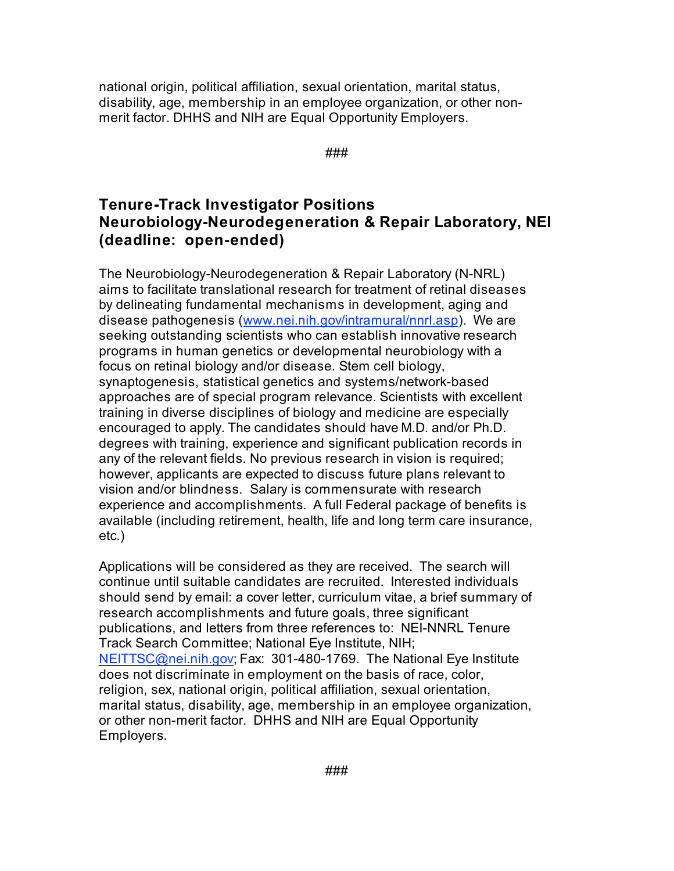national origin, political affiliation, sexual orientation, marital status, disability, age, membership in an employee organization, or other nonmerit factor. DHHS and NIH are Equal Opportunity Employers.

###

# **Tenure-Track Investigator Positions Neurobiology-Neurodegeneration & Repair Laboratory, NEI (deadline: open-ended)**

The Neurobiology-Neurodegeneration & Repair Laboratory (N-NRL) aims to facilitate translational research for treatment of retinal diseases by delineating fundamental mechanisms in development, aging and disease pathogenesis (www.nei.nih.gov/intramural/nnrl.asp). We are seeking outstanding scientists who can establish innovative research programs in human genetics or developmental neurobiology with a focus on retinal biology and/or disease. Stem cell biology, synaptogenesis, statistical genetics and systems/network-based approaches are of special program relevance. Scientists with excellent training in diverse disciplines of biology and medicine are especially encouraged to apply. The candidates should have M.D. and/or Ph.D. degrees with training, experience and significant publication records in any of the relevant fields. No previous research in vision is required; however, applicants are expected to discuss future plans relevant to vision and/or blindness. Salary is commensurate with research experience and accomplishments. A full Federal package of benefits is available (including retirement, health, life and long term care insurance, etc.)

Applications will be considered as they are received. The search will continue until suitable candidates are recruited. Interested individuals should send by email: a cover letter, curriculum vitae, a brief summary of research accomplishments and future goals, three significant publications, and letters from three references to: NEI-NNRL Tenure Track Search Committee; National Eye Institute, NIH; NEITTSC@nei.nih.gov; Fax: 301-480-1769. The National Eye Institute does not discriminate in employment on the basis of race, color, religion, sex, national origin, political affiliation, sexual orientation, marital status, disability, age, membership in an employee organization, or other non-merit factor. DHHS and NIH are Equal Opportunity Employers.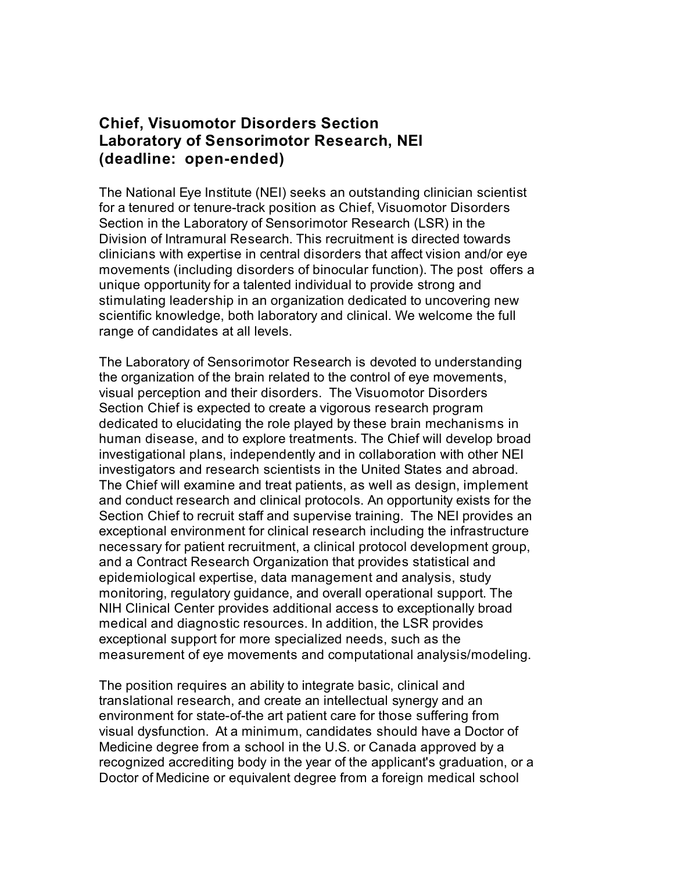## **Chief, Visuomotor Disorders Section Laboratory of Sensorimotor Research, NEI (deadline: open-ended)**

The National Eye Institute (NEI) seeks an outstanding clinician scientist for a tenured or tenure-track position as Chief, Visuomotor Disorders Section in the Laboratory of Sensorimotor Research (LSR) in the Division of Intramural Research. This recruitment is directed towards clinicians with expertise in central disorders that affect vision and/or eye movements (including disorders of binocular function). The post offers a unique opportunity for a talented individual to provide strong and stimulating leadership in an organization dedicated to uncovering new scientific knowledge, both laboratory and clinical. We welcome the full range of candidates at all levels.

The Laboratory of Sensorimotor Research is devoted to understanding the organization of the brain related to the control of eye movements, visual perception and their disorders. The Visuomotor Disorders Section Chief is expected to create a vigorous research program dedicated to elucidating the role played by these brain mechanisms in human disease, and to explore treatments. The Chief will develop broad investigational plans, independently and in collaboration with other NEI investigators and research scientists in the United States and abroad. The Chief will examine and treat patients, as well as design, implement and conduct research and clinical protocols. An opportunity exists for the Section Chief to recruit staff and supervise training. The NEI provides an exceptional environment for clinical research including the infrastructure necessary for patient recruitment, a clinical protocol development group, and a Contract Research Organization that provides statistical and epidemiological expertise, data management and analysis, study monitoring, regulatory guidance, and overall operational support. The NIH Clinical Center provides additional access to exceptionally broad medical and diagnostic resources. In addition, the LSR provides exceptional support for more specialized needs, such as the measurement of eye movements and computational analysis/modeling.

The position requires an ability to integrate basic, clinical and translational research, and create an intellectual synergy and an environment for state-of-the art patient care for those suffering from visual dysfunction. At a minimum, candidates should have a Doctor of Medicine degree from a school in the U.S. or Canada approved by a recognized accrediting body in the year of the applicant's graduation, or a Doctor of Medicine or equivalent degree from a foreign medical school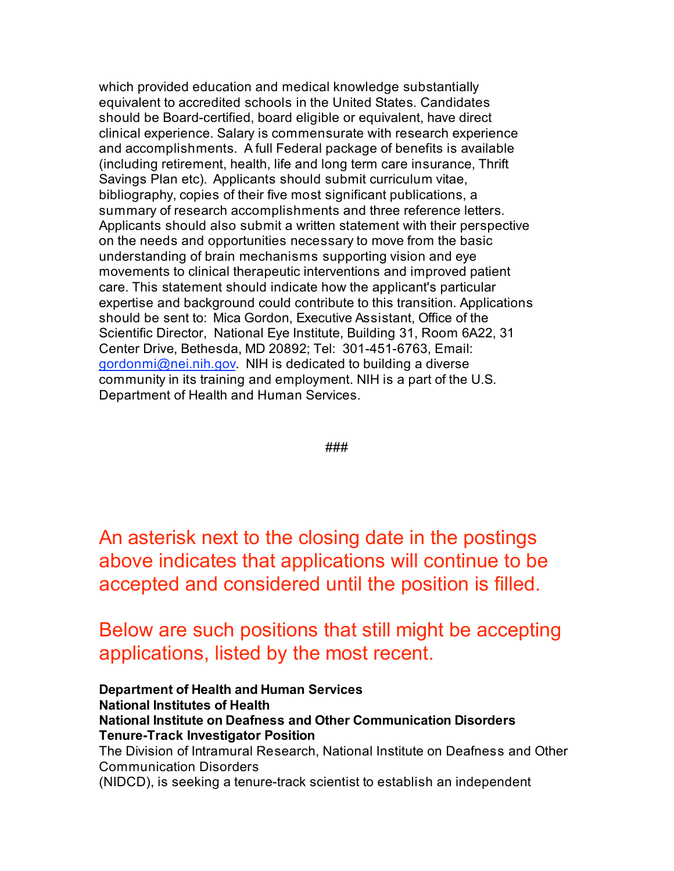which provided education and medical knowledge substantially equivalent to accredited schools in the United States. Candidates should be Board-certified, board eligible or equivalent, have direct clinical experience. Salary is commensurate with research experience and accomplishments. A full Federal package of benefits is available (including retirement, health, life and long term care insurance, Thrift Savings Plan etc). Applicants should submit curriculum vitae, bibliography, copies of their five most significant publications, a summary of research accomplishments and three reference letters. Applicants should also submit a written statement with their perspective on the needs and opportunities necessary to move from the basic understanding of brain mechanisms supporting vision and eye movements to clinical therapeutic interventions and improved patient care. This statement should indicate how the applicant's particular expertise and background could contribute to this transition. Applications should be sent to: Mica Gordon, Executive Assistant, Office of the Scientific Director, National Eye Institute, Building 31, Room 6A22, 31 Center Drive, Bethesda, MD 20892; Tel: 301-451-6763, Email: gordonmi@nei.nih.gov. NIH is dedicated to building a diverse community in its training and employment. NIH is a part of the U.S. Department of Health and Human Services.

###

An asterisk next to the closing date in the postings above indicates that applications will continue to be accepted and considered until the position is filled.

Below are such positions that still might be accepting applications, listed by the most recent.

**Department of Health and Human Services National Institutes of Health National Institute on Deafness and Other Communication Disorders Tenure-Track Investigator Position** The Division of Intramural Research, National Institute on Deafness and Other Communication Disorders (NIDCD), is seeking a tenure-track scientist to establish an independent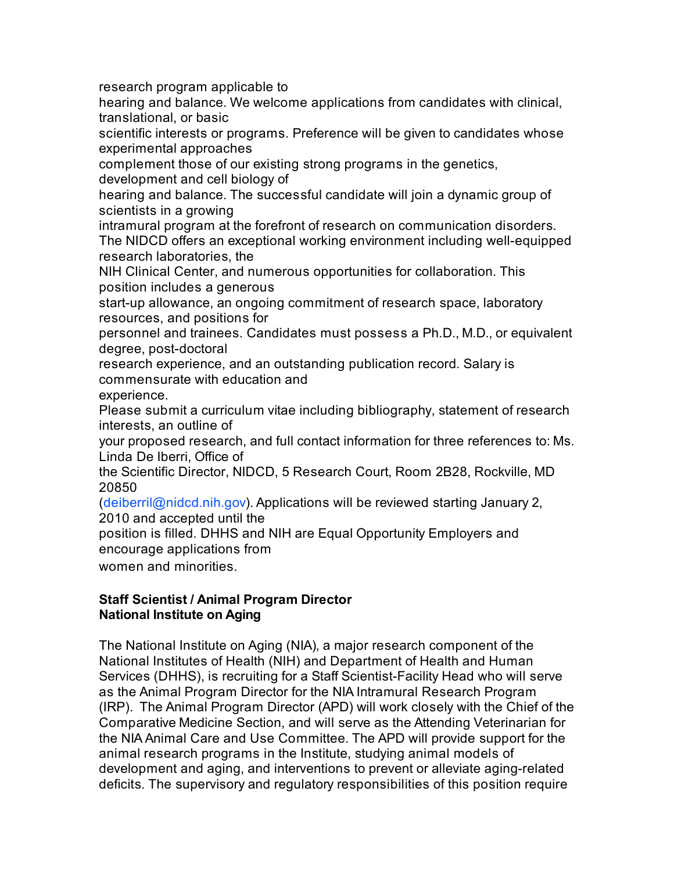research program applicable to

hearing and balance. We welcome applications from candidates with clinical, translational, or basic

scientific interests or programs. Preference will be given to candidates whose experimental approaches

complement those of our existing strong programs in the genetics, development and cell biology of

hearing and balance. The successful candidate will join a dynamic group of scientists in a growing

intramural program at the forefront of research on communication disorders. The NIDCD offers an exceptional working environment including well-equipped research laboratories, the

NIH Clinical Center, and numerous opportunities for collaboration. This position includes a generous

start-up allowance, an ongoing commitment of research space, laboratory resources, and positions for

personnel and trainees. Candidates must possess a Ph.D., M.D., or equivalent degree, post-doctoral

research experience, and an outstanding publication record. Salary is commensurate with education and

experience.

Please submit a curriculum vitae including bibliography, statement of research interests, an outline of

your proposed research, and full contact information for three references to: Ms. Linda De Iberri, Office of

the Scientific Director, NIDCD, 5 Research Court, Room 2B28, Rockville, MD 20850

(deiberril@nidcd.nih.gov). Applications will be reviewed starting January 2, 2010 and accepted until the

position is filled. DHHS and NIH are Equal Opportunity Employers and encourage applications from

women and minorities.

### **Staff Scientist / Animal Program Director National Institute on Aging**

The National Institute on Aging (NIA), a major research component of the National Institutes of Health (NIH) and Department of Health and Human Services (DHHS), is recruiting for a Staff Scientist-Facility Head who will serve as the Animal Program Director for the NIA Intramural Research Program (IRP). The Animal Program Director (APD) will work closely with the Chief of the Comparative Medicine Section, and will serve as the Attending Veterinarian for the NIA Animal Care and Use Committee. The APD will provide support for the animal research programs in the Institute, studying animal models of development and aging, and interventions to prevent or alleviate aging-related deficits. The supervisory and regulatory responsibilities of this position require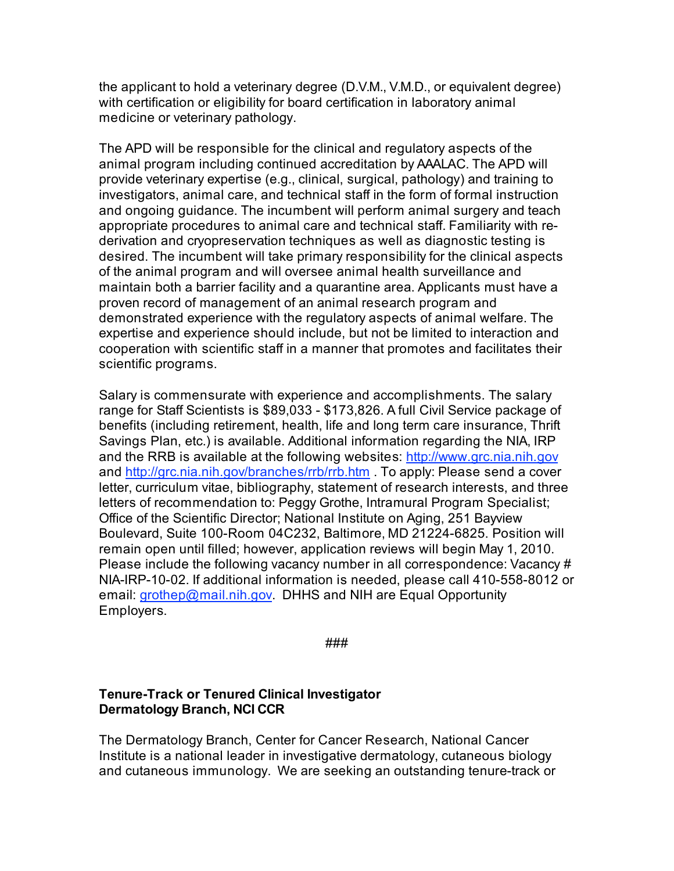the applicant to hold a veterinary degree (D.V.M., V.M.D., or equivalent degree) with certification or eligibility for board certification in laboratory animal medicine or veterinary pathology.

The APD will be responsible for the clinical and regulatory aspects of the animal program including continued accreditation by AAALAC. The APD will provide veterinary expertise (e.g., clinical, surgical, pathology) and training to investigators, animal care, and technical staff in the form of formal instruction and ongoing guidance. The incumbent will perform animal surgery and teach appropriate procedures to animal care and technical staff. Familiarity with rederivation and cryopreservation techniques as well as diagnostic testing is desired. The incumbent will take primary responsibility for the clinical aspects of the animal program and will oversee animal health surveillance and maintain both a barrier facility and a quarantine area. Applicants must have a proven record of management of an animal research program and demonstrated experience with the regulatory aspects of animal welfare. The expertise and experience should include, but not be limited to interaction and cooperation with scientific staff in a manner that promotes and facilitates their scientific programs.

Salary is commensurate with experience and accomplishments. The salary range for Staff Scientists is \$89,033 - \$173,826. A full Civil Service package of benefits (including retirement, health, life and long term care insurance, Thrift Savings Plan, etc.) is available. Additional information regarding the NIA, IRP and the RRB is available at the following websites: http://www.grc.nia.nih.gov and http://grc.nia.nih.gov/branches/rrb/rrb.htm . To apply: Please send a cover letter, curriculum vitae, bibliography, statement of research interests, and three letters of recommendation to: Peggy Grothe, Intramural Program Specialist; Office of the Scientific Director; National Institute on Aging, 251 Bayview Boulevard, Suite 100-Room 04C232, Baltimore, MD 21224-6825. Position will remain open until filled; however, application reviews will begin May 1, 2010. Please include the following vacancy number in all correspondence: Vacancy # NIA-IRP-10-02. If additional information is needed, please call 410-558-8012 or email: grothep@mail.nih.gov. DHHS and NIH are Equal Opportunity Employers.

###

#### **Tenure-Track or Tenured Clinical Investigator Dermatology Branch, NCI CCR**

The Dermatology Branch, Center for Cancer Research, National Cancer Institute is a national leader in investigative dermatology, cutaneous biology and cutaneous immunology. We are seeking an outstanding tenure-track or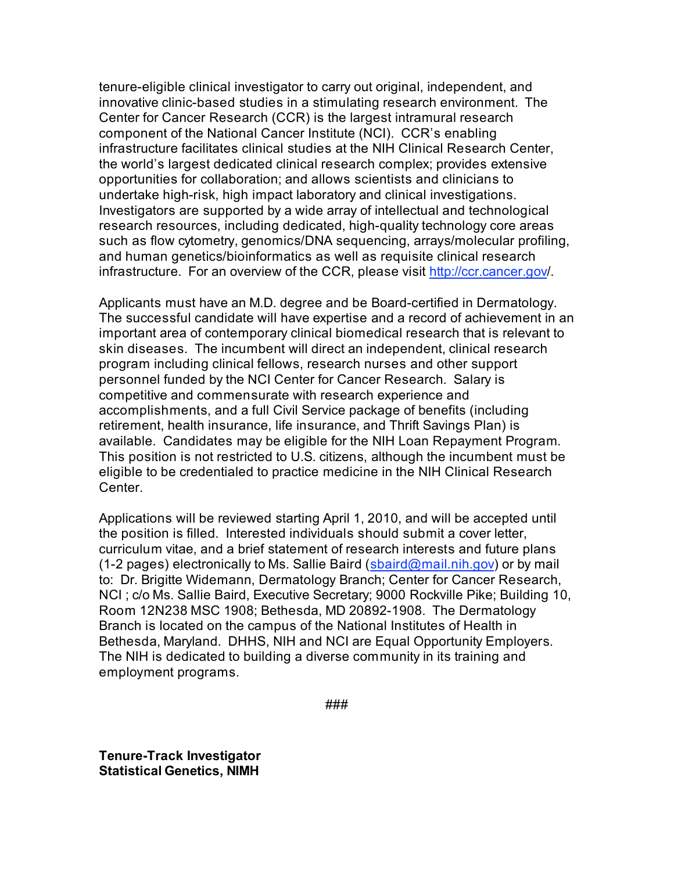tenure-eligible clinical investigator to carry out original, independent, and innovative clinic-based studies in a stimulating research environment. The Center for Cancer Research (CCR) is the largest intramural research component of the National Cancer Institute (NCI). CCR's enabling infrastructure facilitates clinical studies at the NIH Clinical Research Center, the world's largest dedicated clinical research complex; provides extensive opportunities for collaboration; and allows scientists and clinicians to undertake high-risk, high impact laboratory and clinical investigations. Investigators are supported by a wide array of intellectual and technological research resources, including dedicated, high-quality technology core areas such as flow cytometry, genomics/DNA sequencing, arrays/molecular profiling, and human genetics/bioinformatics as well as requisite clinical research infrastructure. For an overview of the CCR, please visit http://ccr.cancer.gov/.

Applicants must have an M.D. degree and be Board-certified in Dermatology. The successful candidate will have expertise and a record of achievement in an important area of contemporary clinical biomedical research that is relevant to skin diseases. The incumbent will direct an independent, clinical research program including clinical fellows, research nurses and other support personnel funded by the NCI Center for Cancer Research. Salary is competitive and commensurate with research experience and accomplishments, and a full Civil Service package of benefits (including retirement, health insurance, life insurance, and Thrift Savings Plan) is available. Candidates may be eligible for the NIH Loan Repayment Program. This position is not restricted to U.S. citizens, although the incumbent must be eligible to be credentialed to practice medicine in the NIH Clinical Research **Center** 

Applications will be reviewed starting April 1, 2010, and will be accepted until the position is filled. Interested individuals should submit a cover letter, curriculum vitae, and a brief statement of research interests and future plans (1-2 pages) electronically to Ms. Sallie Baird (sbaird@mail.nih.gov) or by mail to: Dr. Brigitte Widemann, Dermatology Branch; Center for Cancer Research, NCI ; c/o Ms. Sallie Baird, Executive Secretary; 9000 Rockville Pike; Building 10, Room 12N238 MSC 1908; Bethesda, MD 20892-1908. The Dermatology Branch is located on the campus of the National Institutes of Health in Bethesda, Maryland. DHHS, NIH and NCI are Equal Opportunity Employers. The NIH is dedicated to building a diverse community in its training and employment programs.

**Tenure-Track Investigator Statistical Genetics, NIMH**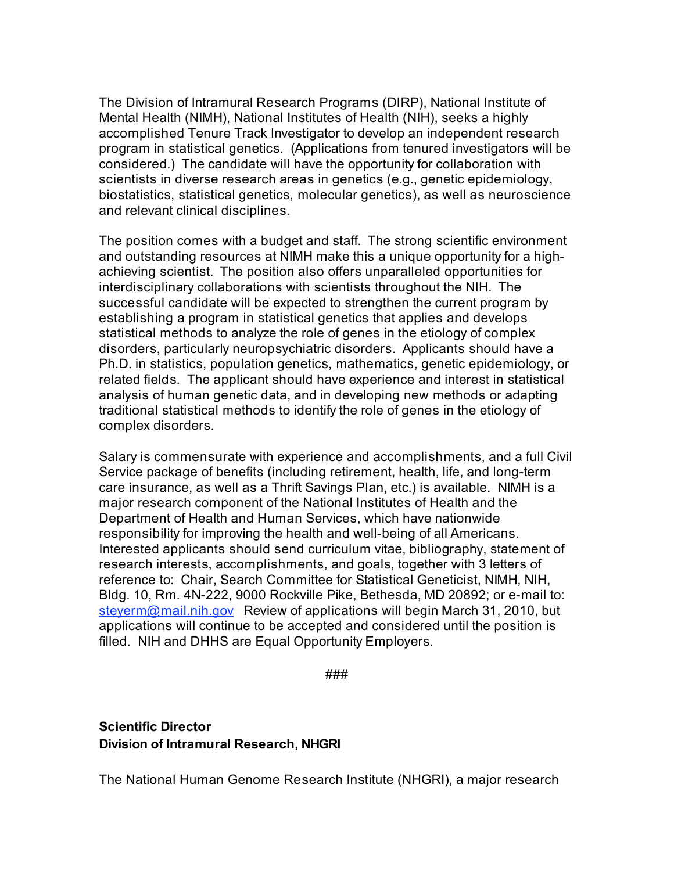The Division of Intramural Research Programs (DIRP), National Institute of Mental Health (NIMH), National Institutes of Health (NIH), seeks a highly accomplished Tenure Track Investigator to develop an independent research program in statistical genetics. (Applications from tenured investigators will be considered.) The candidate will have the opportunity for collaboration with scientists in diverse research areas in genetics (e.g., genetic epidemiology, biostatistics, statistical genetics, molecular genetics), as well as neuroscience and relevant clinical disciplines.

The position comes with a budget and staff. The strong scientific environment and outstanding resources at NIMH make this a unique opportunity for a highachieving scientist. The position also offers unparalleled opportunities for interdisciplinary collaborations with scientists throughout the NIH. The successful candidate will be expected to strengthen the current program by establishing a program in statistical genetics that applies and develops statistical methods to analyze the role of genes in the etiology of complex disorders, particularly neuropsychiatric disorders. Applicants should have a Ph.D. in statistics, population genetics, mathematics, genetic epidemiology, or related fields. The applicant should have experience and interest in statistical analysis of human genetic data, and in developing new methods or adapting traditional statistical methods to identify the role of genes in the etiology of complex disorders.

Salary is commensurate with experience and accomplishments, and a full Civil Service package of benefits (including retirement, health, life, and long-term care insurance, as well as a Thrift Savings Plan, etc.) is available. NIMH is a major research component of the National Institutes of Health and the Department of Health and Human Services, which have nationwide responsibility for improving the health and well-being of all Americans. Interested applicants should send curriculum vitae, bibliography, statement of research interests, accomplishments, and goals, together with 3 letters of reference to: Chair, Search Committee for Statistical Geneticist, NIMH, NIH, Bldg. 10, Rm. 4N-222, 9000 Rockville Pike, Bethesda, MD 20892; or e-mail to: steyerm@mail.nih.gov Review of applications will begin March 31, 2010, but applications will continue to be accepted and considered until the position is filled. NIH and DHHS are Equal Opportunity Employers.

###

**Scientific Director Division of Intramural Research, NHGRI**

The National Human Genome Research Institute (NHGRI), a major research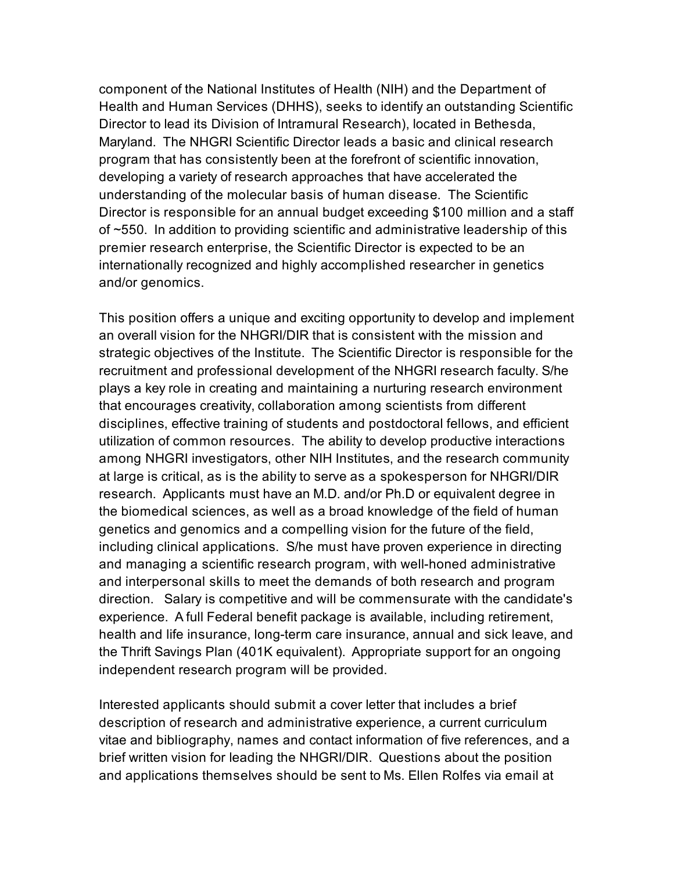component of the National Institutes of Health (NIH) and the Department of Health and Human Services (DHHS), seeks to identify an outstanding Scientific Director to lead its Division of Intramural Research), located in Bethesda, Maryland. The NHGRI Scientific Director leads a basic and clinical research program that has consistently been at the forefront of scientific innovation, developing a variety of research approaches that have accelerated the understanding of the molecular basis of human disease. The Scientific Director is responsible for an annual budget exceeding \$100 million and a staff of ~550. In addition to providing scientific and administrative leadership of this premier research enterprise, the Scientific Director is expected to be an internationally recognized and highly accomplished researcher in genetics and/or genomics.

This position offers a unique and exciting opportunity to develop and implement an overall vision for the NHGRI/DIR that is consistent with the mission and strategic objectives of the Institute. The Scientific Director is responsible for the recruitment and professional development of the NHGRI research faculty. S/he plays a key role in creating and maintaining a nurturing research environment that encourages creativity, collaboration among scientists from different disciplines, effective training of students and postdoctoral fellows, and efficient utilization of common resources. The ability to develop productive interactions among NHGRI investigators, other NIH Institutes, and the research community at large is critical, as is the ability to serve as a spokesperson for NHGRI/DIR research. Applicants must have an M.D. and/or Ph.D or equivalent degree in the biomedical sciences, as well as a broad knowledge of the field of human genetics and genomics and a compelling vision for the future of the field, including clinical applications. S/he must have proven experience in directing and managing a scientific research program, with well-honed administrative and interpersonal skills to meet the demands of both research and program direction. Salary is competitive and will be commensurate with the candidate's experience. A full Federal benefit package is available, including retirement, health and life insurance, long-term care insurance, annual and sick leave, and the Thrift Savings Plan (401K equivalent). Appropriate support for an ongoing independent research program will be provided.

Interested applicants should submit a cover letter that includes a brief description of research and administrative experience, a current curriculum vitae and bibliography, names and contact information of five references, and a brief written vision for leading the NHGRI/DIR. Questions about the position and applications themselves should be sent to Ms. Ellen Rolfes via email at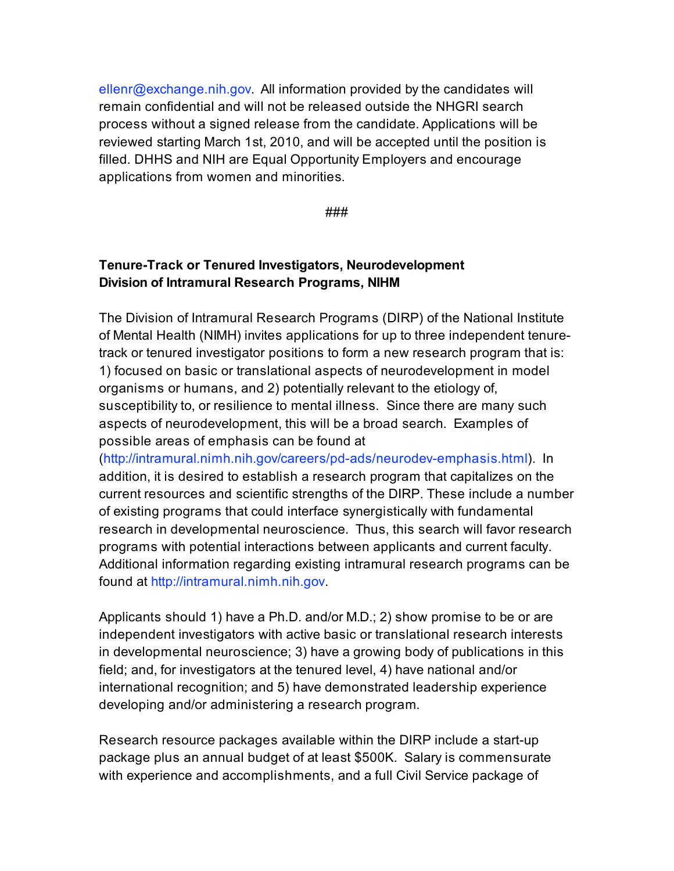ellenr@exchange.nih.gov. All information provided by the candidates will remain confidential and will not be released outside the NHGRI search process without a signed release from the candidate. Applications will be reviewed starting March 1st, 2010, and will be accepted until the position is filled. DHHS and NIH are Equal Opportunity Employers and encourage applications from women and minorities.

###

### **Tenure-Track or Tenured Investigators, Neurodevelopment Division of Intramural Research Programs, NIHM**

The Division of Intramural Research Programs (DIRP) of the National Institute of Mental Health (NIMH) invites applications for up to three independent tenuretrack or tenured investigator positions to form a new research program that is: 1) focused on basic or translational aspects of neurodevelopment in model organisms or humans, and 2) potentially relevant to the etiology of, susceptibility to, or resilience to mental illness. Since there are many such aspects of neurodevelopment, this will be a broad search. Examples of possible areas of emphasis can be found at

(http://intramural.nimh.nih.gov/careers/pd-ads/neurodev-emphasis.html). In addition, it is desired to establish a research program that capitalizes on the current resources and scientific strengths of the DIRP. These include a number of existing programs that could interface synergistically with fundamental research in developmental neuroscience. Thus, this search will favor research programs with potential interactions between applicants and current faculty. Additional information regarding existing intramural research programs can be found at http://intramural.nimh.nih.gov.

Applicants should 1) have a Ph.D. and/or M.D.; 2) show promise to be or are independent investigators with active basic or translational research interests in developmental neuroscience; 3) have a growing body of publications in this field; and, for investigators at the tenured level, 4) have national and/or international recognition; and 5) have demonstrated leadership experience developing and/or administering a research program.

Research resource packages available within the DIRP include a start-up package plus an annual budget of at least \$500K. Salary is commensurate with experience and accomplishments, and a full Civil Service package of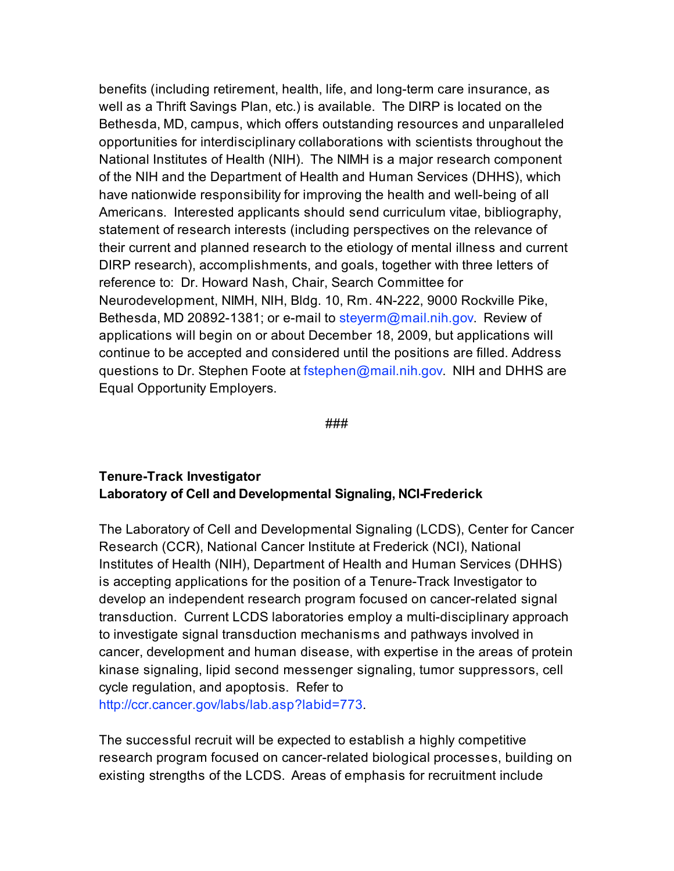benefits (including retirement, health, life, and long-term care insurance, as well as a Thrift Savings Plan, etc.) is available. The DIRP is located on the Bethesda, MD, campus, which offers outstanding resources and unparalleled opportunities for interdisciplinary collaborations with scientists throughout the National Institutes of Health (NIH). The NIMH is a major research component of the NIH and the Department of Health and Human Services (DHHS), which have nationwide responsibility for improving the health and well-being of all Americans. Interested applicants should send curriculum vitae, bibliography, statement of research interests (including perspectives on the relevance of their current and planned research to the etiology of mental illness and current DIRP research), accomplishments, and goals, together with three letters of reference to: Dr. Howard Nash, Chair, Search Committee for Neurodevelopment, NIMH, NIH, Bldg. 10, Rm. 4N-222, 9000 Rockville Pike, Bethesda, MD 20892-1381; or e-mail to steverm@mail.nih.gov. Review of applications will begin on or about December 18, 2009, but applications will continue to be accepted and considered until the positions are filled. Address questions to Dr. Stephen Foote at fstephen@mail.nih.gov. NIH and DHHS are Equal Opportunity Employers.

###

#### **Tenure-Track Investigator Laboratory of Cell and Developmental Signaling, NCI-Frederick**

The Laboratory of Cell and Developmental Signaling (LCDS), Center for Cancer Research (CCR), National Cancer Institute at Frederick (NCI), National Institutes of Health (NIH), Department of Health and Human Services (DHHS) is accepting applications for the position of a Tenure-Track Investigator to develop an independent research program focused on cancer-related signal transduction. Current LCDS laboratories employ a multi-disciplinary approach to investigate signal transduction mechanisms and pathways involved in cancer, development and human disease, with expertise in the areas of protein kinase signaling, lipid second messenger signaling, tumor suppressors, cell cycle regulation, and apoptosis. Refer to http://ccr.cancer.gov/labs/lab.asp?labid=773.

The successful recruit will be expected to establish a highly competitive research program focused on cancer-related biological processes, building on existing strengths of the LCDS. Areas of emphasis for recruitment include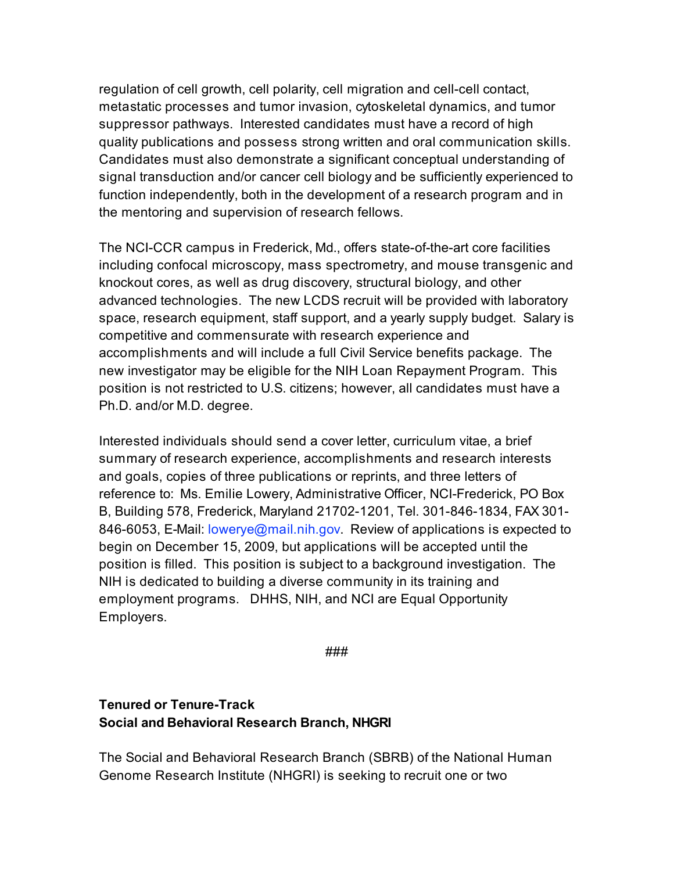regulation of cell growth, cell polarity, cell migration and cell-cell contact, metastatic processes and tumor invasion, cytoskeletal dynamics, and tumor suppressor pathways. Interested candidates must have a record of high quality publications and possess strong written and oral communication skills. Candidates must also demonstrate a significant conceptual understanding of signal transduction and/or cancer cell biology and be sufficiently experienced to function independently, both in the development of a research program and in the mentoring and supervision of research fellows.

The NCI-CCR campus in Frederick, Md., offers state-of-the-art core facilities including confocal microscopy, mass spectrometry, and mouse transgenic and knockout cores, as well as drug discovery, structural biology, and other advanced technologies. The new LCDS recruit will be provided with laboratory space, research equipment, staff support, and a yearly supply budget. Salary is competitive and commensurate with research experience and accomplishments and will include a full Civil Service benefits package. The new investigator may be eligible for the NIH Loan Repayment Program. This position is not restricted to U.S. citizens; however, all candidates must have a Ph.D. and/or M.D. degree.

Interested individuals should send a cover letter, curriculum vitae, a brief summary of research experience, accomplishments and research interests and goals, copies of three publications or reprints, and three letters of reference to: Ms. Emilie Lowery, Administrative Officer, NCI-Frederick, PO Box B, Building 578, Frederick, Maryland 21702-1201, Tel. 301-846-1834, FAX 301- 846-6053, E-Mail: lowerye@mail.nih.gov. Review of applications is expected to begin on December 15, 2009, but applications will be accepted until the position is filled. This position is subject to a background investigation. The NIH is dedicated to building a diverse community in its training and employment programs. DHHS, NIH, and NCI are Equal Opportunity Employers.

###

### **Tenured or Tenure-Track Social and Behavioral Research Branch, NHGRI**

The Social and Behavioral Research Branch (SBRB) of the National Human Genome Research Institute (NHGRI) is seeking to recruit one or two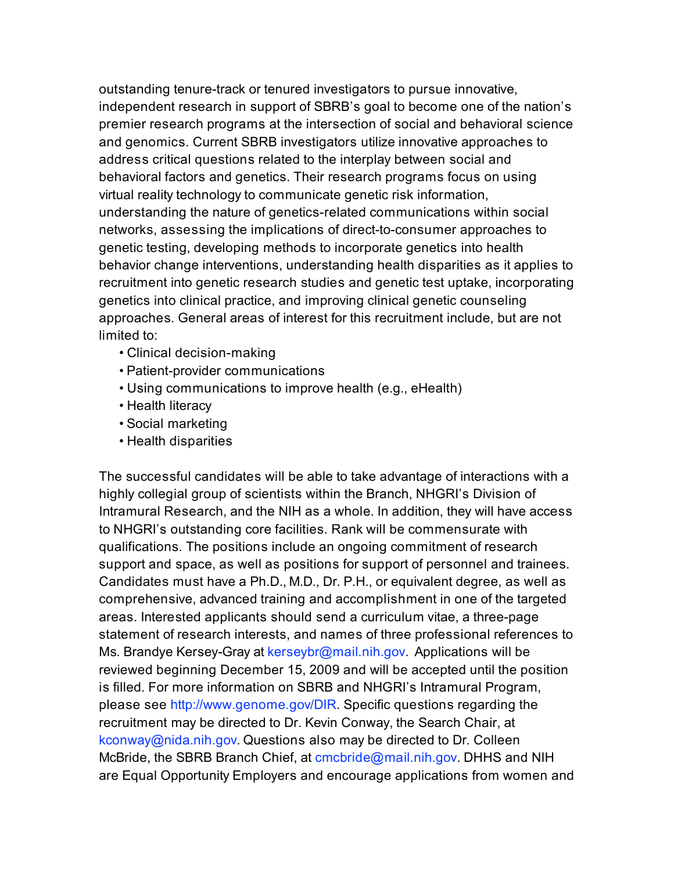outstanding tenure-track or tenured investigators to pursue innovative, independent research in support of SBRB's goal to become one of the nation's premier research programs at the intersection of social and behavioral science and genomics. Current SBRB investigators utilize innovative approaches to address critical questions related to the interplay between social and behavioral factors and genetics. Their research programs focus on using virtual reality technology to communicate genetic risk information, understanding the nature of genetics-related communications within social networks, assessing the implications of direct-to-consumer approaches to genetic testing, developing methods to incorporate genetics into health behavior change interventions, understanding health disparities as it applies to recruitment into genetic research studies and genetic test uptake, incorporating genetics into clinical practice, and improving clinical genetic counseling approaches. General areas of interest for this recruitment include, but are not limited to:

- Clinical decision-making
- Patient-provider communications
- Using communications to improve health (e.g., eHealth)
- Health literacy
- Social marketing
- Health disparities

The successful candidates will be able to take advantage of interactions with a highly collegial group of scientists within the Branch, NHGRI's Division of Intramural Research, and the NIH as a whole. In addition, they will have access to NHGRI's outstanding core facilities. Rank will be commensurate with qualifications. The positions include an ongoing commitment of research support and space, as well as positions for support of personnel and trainees. Candidates must have a Ph.D., M.D., Dr. P.H., or equivalent degree, as well as comprehensive, advanced training and accomplishment in one of the targeted areas. Interested applicants should send a curriculum vitae, a three-page statement of research interests, and names of three professional references to Ms. Brandye Kersey-Gray at kerseybr@mail.nih.gov. Applications will be reviewed beginning December 15, 2009 and will be accepted until the position is filled. For more information on SBRB and NHGRI's Intramural Program, please see http://www.genome.gov/DIR. Specific questions regarding the recruitment may be directed to Dr. Kevin Conway, the Search Chair, at kconway@nida.nih.gov. Questions also may be directed to Dr. Colleen McBride, the SBRB Branch Chief, at cmcbride@mail.nih.gov. DHHS and NIH are Equal Opportunity Employers and encourage applications from women and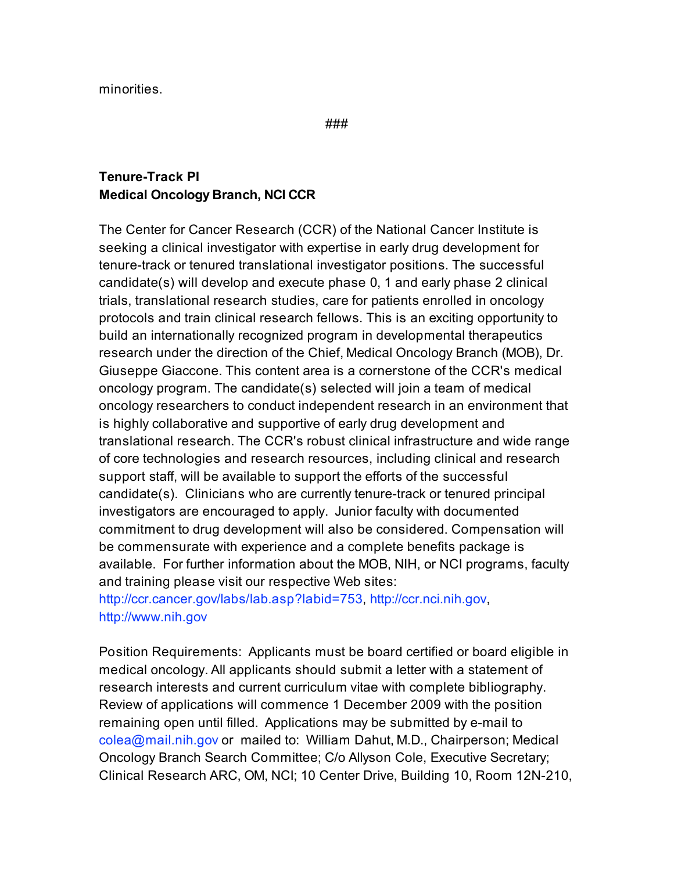minorities.

###

### **Tenure-Track PI Medical Oncology Branch, NCI CCR**

The Center for Cancer Research (CCR) of the National Cancer Institute is seeking a clinical investigator with expertise in early drug development for tenure-track or tenured translational investigator positions. The successful candidate(s) will develop and execute phase 0, 1 and early phase 2 clinical trials, translational research studies, care for patients enrolled in oncology protocols and train clinical research fellows. This is an exciting opportunity to build an internationally recognized program in developmental therapeutics research under the direction of the Chief, Medical Oncology Branch (MOB), Dr. Giuseppe Giaccone. This content area is a cornerstone of the CCR's medical oncology program. The candidate(s) selected will join a team of medical oncology researchers to conduct independent research in an environment that is highly collaborative and supportive of early drug development and translational research. The CCR's robust clinical infrastructure and wide range of core technologies and research resources, including clinical and research support staff, will be available to support the efforts of the successful candidate(s). Clinicians who are currently tenure-track or tenured principal investigators are encouraged to apply. Junior faculty with documented commitment to drug development will also be considered. Compensation will be commensurate with experience and a complete benefits package is available. For further information about the MOB, NIH, or NCI programs, faculty and training please visit our respective Web sites:

http://ccr.cancer.gov/labs/lab.asp?labid=753, http://ccr.nci.nih.gov, http://www.nih.gov

Position Requirements: Applicants must be board certified or board eligible in medical oncology. All applicants should submit a letter with a statement of research interests and current curriculum vitae with complete bibliography. Review of applications will commence 1 December 2009 with the position remaining open until filled. Applications may be submitted by e-mail to colea@mail.nih.gov or mailed to: William Dahut, M.D., Chairperson; Medical Oncology Branch Search Committee; C/o Allyson Cole, Executive Secretary; Clinical Research ARC, OM, NCI; 10 Center Drive, Building 10, Room 12N-210,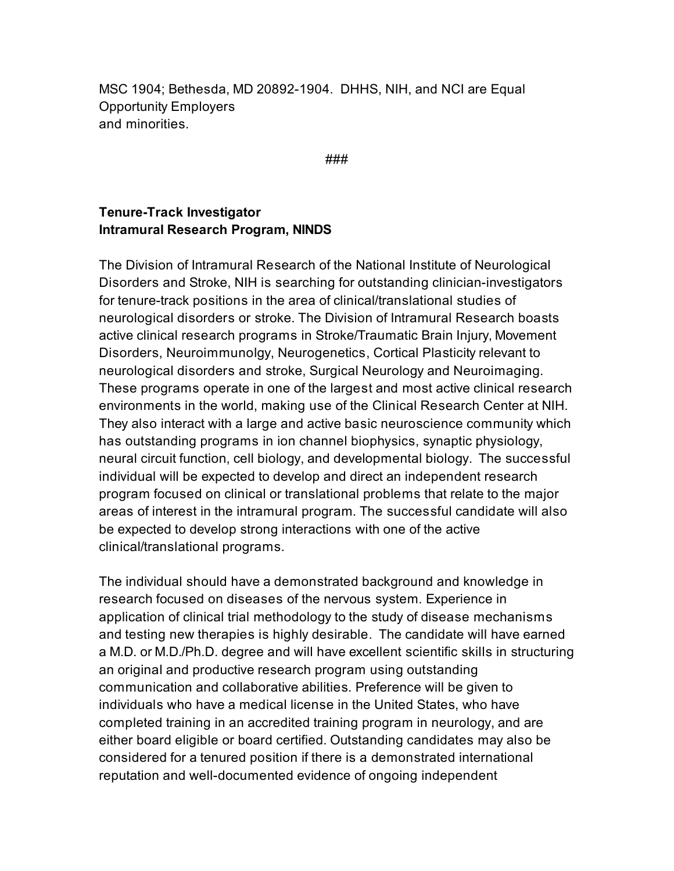MSC 1904; Bethesda, MD 20892-1904. DHHS, NIH, and NCI are Equal Opportunity Employers and minorities.

###

#### **Tenure-Track Investigator Intramural Research Program, NINDS**

The Division of Intramural Research of the National Institute of Neurological Disorders and Stroke, NIH is searching for outstanding clinician-investigators for tenure-track positions in the area of clinical/translational studies of neurological disorders or stroke. The Division of Intramural Research boasts active clinical research programs in Stroke/Traumatic Brain Injury, Movement Disorders, Neuroimmunolgy, Neurogenetics, Cortical Plasticity relevant to neurological disorders and stroke, Surgical Neurology and Neuroimaging. These programs operate in one of the largest and most active clinical research environments in the world, making use of the Clinical Research Center at NIH. They also interact with a large and active basic neuroscience community which has outstanding programs in ion channel biophysics, synaptic physiology, neural circuit function, cell biology, and developmental biology. The successful individual will be expected to develop and direct an independent research program focused on clinical or translational problems that relate to the major areas of interest in the intramural program. The successful candidate will also be expected to develop strong interactions with one of the active clinical/translational programs.

The individual should have a demonstrated background and knowledge in research focused on diseases of the nervous system. Experience in application of clinical trial methodology to the study of disease mechanisms and testing new therapies is highly desirable. The candidate will have earned a M.D. or M.D./Ph.D. degree and will have excellent scientific skills in structuring an original and productive research program using outstanding communication and collaborative abilities. Preference will be given to individuals who have a medical license in the United States, who have completed training in an accredited training program in neurology, and are either board eligible or board certified. Outstanding candidates may also be considered for a tenured position if there is a demonstrated international reputation and well-documented evidence of ongoing independent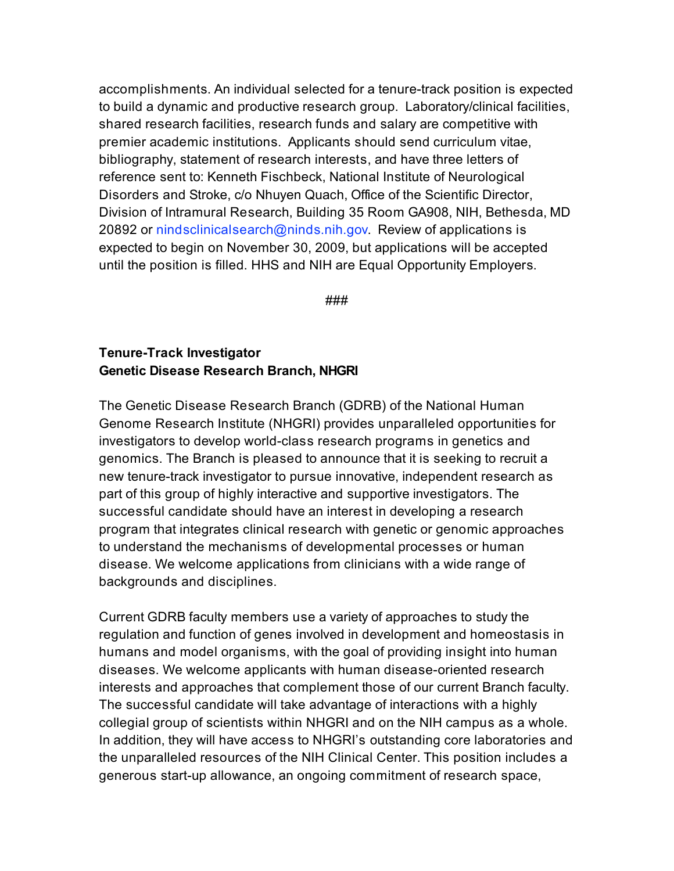accomplishments. An individual selected for a tenure-track position is expected to build a dynamic and productive research group. Laboratory/clinical facilities, shared research facilities, research funds and salary are competitive with premier academic institutions. Applicants should send curriculum vitae, bibliography, statement of research interests, and have three letters of reference sent to: Kenneth Fischbeck, National Institute of Neurological Disorders and Stroke, c/o Nhuyen Quach, Office of the Scientific Director, Division of Intramural Research, Building 35 Room GA908, NIH, Bethesda, MD 20892 or nindsclinicalsearch@ninds.nih.gov. Review of applications is expected to begin on November 30, 2009, but applications will be accepted until the position is filled. HHS and NIH are Equal Opportunity Employers.

###

#### **Tenure-Track Investigator Genetic Disease Research Branch, NHGRI**

The Genetic Disease Research Branch (GDRB) of the National Human Genome Research Institute (NHGRI) provides unparalleled opportunities for investigators to develop world-class research programs in genetics and genomics. The Branch is pleased to announce that it is seeking to recruit a new tenure-track investigator to pursue innovative, independent research as part of this group of highly interactive and supportive investigators. The successful candidate should have an interest in developing a research program that integrates clinical research with genetic or genomic approaches to understand the mechanisms of developmental processes or human disease. We welcome applications from clinicians with a wide range of backgrounds and disciplines.

Current GDRB faculty members use a variety of approaches to study the regulation and function of genes involved in development and homeostasis in humans and model organisms, with the goal of providing insight into human diseases. We welcome applicants with human disease-oriented research interests and approaches that complement those of our current Branch faculty. The successful candidate will take advantage of interactions with a highly collegial group of scientists within NHGRI and on the NIH campus as a whole. In addition, they will have access to NHGRI's outstanding core laboratories and the unparalleled resources of the NIH Clinical Center. This position includes a generous start-up allowance, an ongoing commitment of research space,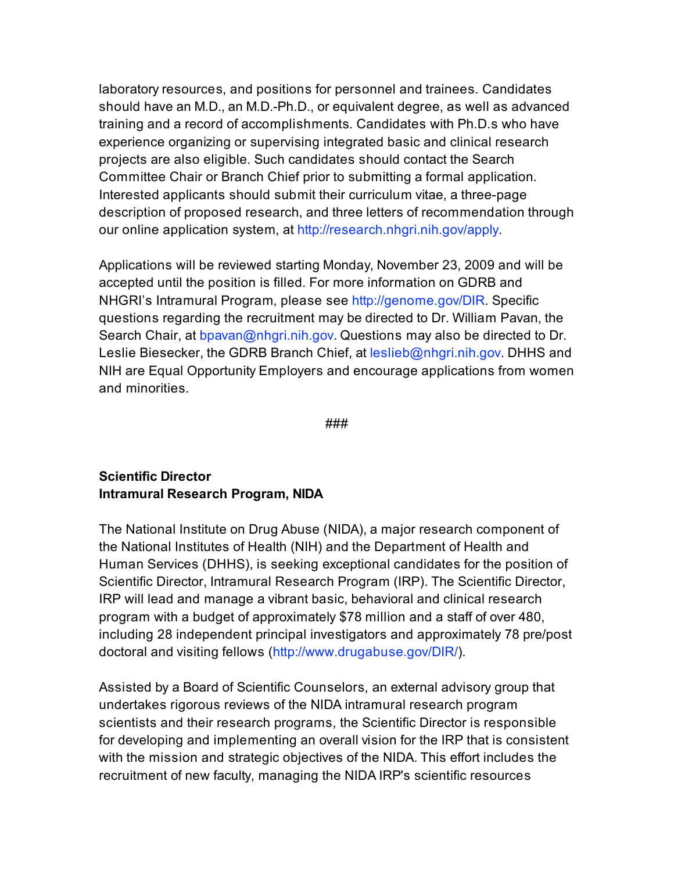laboratory resources, and positions for personnel and trainees. Candidates should have an M.D., an M.D.-Ph.D., or equivalent degree, as well as advanced training and a record of accomplishments. Candidates with Ph.D.s who have experience organizing or supervising integrated basic and clinical research projects are also eligible. Such candidates should contact the Search Committee Chair or Branch Chief prior to submitting a formal application. Interested applicants should submit their curriculum vitae, a three-page description of proposed research, and three letters of recommendation through our online application system, at http://research.nhgri.nih.gov/apply.

Applications will be reviewed starting Monday, November 23, 2009 and will be accepted until the position is filled. For more information on GDRB and NHGRI's Intramural Program, please see http://genome.gov/DIR. Specific questions regarding the recruitment may be directed to Dr. William Pavan, the Search Chair, at bpavan@nhgri.nih.gov. Questions may also be directed to Dr. Leslie Biesecker, the GDRB Branch Chief, at leslieb@nhgri.nih.gov. DHHS and NIH are Equal Opportunity Employers and encourage applications from women and minorities.

###

### **Scientific Director Intramural Research Program, NIDA**

The National Institute on Drug Abuse (NIDA), a major research component of the National Institutes of Health (NIH) and the Department of Health and Human Services (DHHS), is seeking exceptional candidates for the position of Scientific Director, Intramural Research Program (IRP). The Scientific Director, IRP will lead and manage a vibrant basic, behavioral and clinical research program with a budget of approximately \$78 million and a staff of over 480, including 28 independent principal investigators and approximately 78 pre/post doctoral and visiting fellows (http://www.drugabuse.gov/DIR/).

Assisted by a Board of Scientific Counselors, an external advisory group that undertakes rigorous reviews of the NIDA intramural research program scientists and their research programs, the Scientific Director is responsible for developing and implementing an overall vision for the IRP that is consistent with the mission and strategic objectives of the NIDA. This effort includes the recruitment of new faculty, managing the NIDA IRP's scientific resources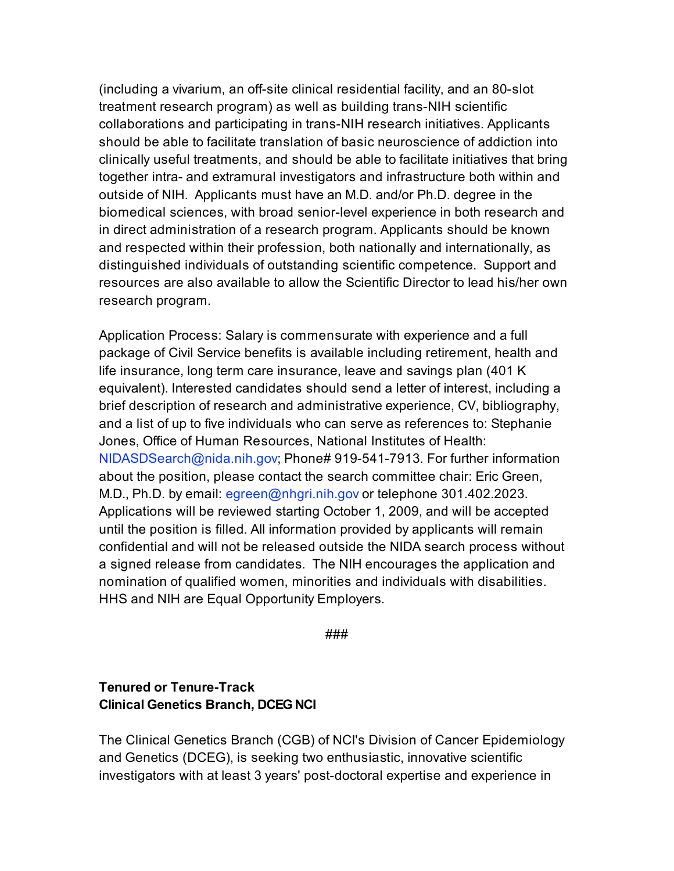(including a vivarium, an off-site clinical residential facility, and an 80-slot treatment research program) as well as building trans-NIH scientific collaborations and participating in trans-NIH research initiatives. Applicants should be able to facilitate translation of basic neuroscience of addiction into clinically useful treatments, and should be able to facilitate initiatives that bring together intra- and extramural investigators and infrastructure both within and outside of NIH. Applicants must have an M.D. and/or Ph.D. degree in the biomedical sciences, with broad senior-level experience in both research and in direct administration of a research program. Applicants should be known and respected within their profession, both nationally and internationally, as distinguished individuals of outstanding scientific competence. Support and resources are also available to allow the Scientific Director to lead his/her own research program.

Application Process: Salary is commensurate with experience and a full package of Civil Service benefits is available including retirement, health and life insurance, long term care insurance, leave and savings plan (401 K equivalent). Interested candidates should send a letter of interest, including a brief description of research and administrative experience, CV, bibliography, and a list of up to five individuals who can serve as references to: Stephanie Jones, Office of Human Resources, National Institutes of Health: NIDASDSearch@nida.nih.gov; Phone# 919-541-7913. For further information about the position, please contact the search committee chair: Eric Green, M.D., Ph.D. by email: egreen@nhgri.nih.gov or telephone 301.402.2023. Applications will be reviewed starting October 1, 2009, and will be accepted until the position is filled. All information provided by applicants will remain confidential and will not be released outside the NIDA search process without a signed release from candidates. The NIH encourages the application and nomination of qualified women, minorities and individuals with disabilities. HHS and NIH are Equal Opportunity Employers.

###

### **Tenured or Tenure-Track Clinical Genetics Branch, DCEG NCI**

The Clinical Genetics Branch (CGB) of NCI's Division of Cancer Epidemiology and Genetics (DCEG), is seeking two enthusiastic, innovative scientific investigators with at least 3 years' post-doctoral expertise and experience in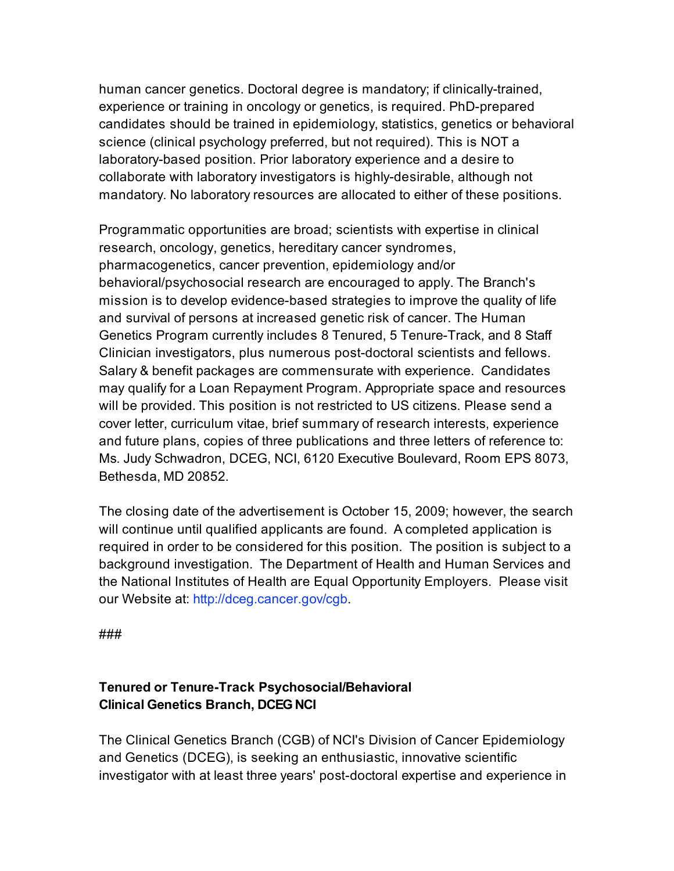human cancer genetics. Doctoral degree is mandatory; if clinically-trained, experience or training in oncology or genetics, is required. PhD-prepared candidates should be trained in epidemiology, statistics, genetics or behavioral science (clinical psychology preferred, but not required). This is NOT a laboratory-based position. Prior laboratory experience and a desire to collaborate with laboratory investigators is highly-desirable, although not mandatory. No laboratory resources are allocated to either of these positions.

Programmatic opportunities are broad; scientists with expertise in clinical research, oncology, genetics, hereditary cancer syndromes, pharmacogenetics, cancer prevention, epidemiology and/or behavioral/psychosocial research are encouraged to apply. The Branch's mission is to develop evidence-based strategies to improve the quality of life and survival of persons at increased genetic risk of cancer. The Human Genetics Program currently includes 8 Tenured, 5 Tenure-Track, and 8 Staff Clinician investigators, plus numerous post-doctoral scientists and fellows. Salary & benefit packages are commensurate with experience. Candidates may qualify for a Loan Repayment Program. Appropriate space and resources will be provided. This position is not restricted to US citizens. Please send a cover letter, curriculum vitae, brief summary of research interests, experience and future plans, copies of three publications and three letters of reference to: Ms. Judy Schwadron, DCEG, NCI, 6120 Executive Boulevard, Room EPS 8073, Bethesda, MD 20852.

The closing date of the advertisement is October 15, 2009; however, the search will continue until qualified applicants are found. A completed application is required in order to be considered for this position. The position is subject to a background investigation. The Department of Health and Human Services and the National Institutes of Health are Equal Opportunity Employers. Please visit our Website at: http://dceg.cancer.gov/cgb.

###

### **Tenured or Tenure-Track Psychosocial/Behavioral Clinical Genetics Branch, DCEG NCI**

The Clinical Genetics Branch (CGB) of NCI's Division of Cancer Epidemiology and Genetics (DCEG), is seeking an enthusiastic, innovative scientific investigator with at least three years' post-doctoral expertise and experience in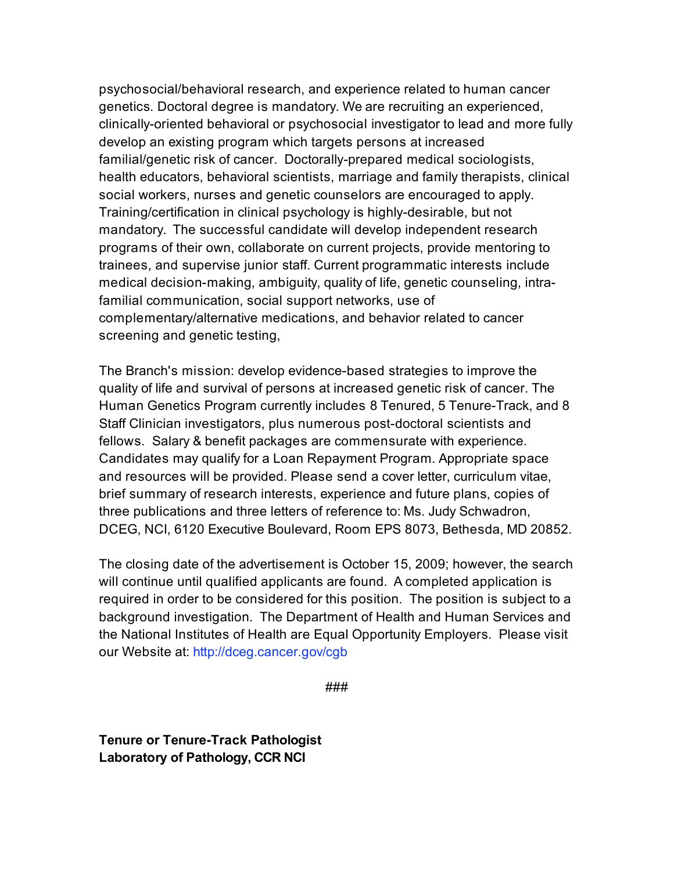psychosocial/behavioral research, and experience related to human cancer genetics. Doctoral degree is mandatory. We are recruiting an experienced, clinically-oriented behavioral or psychosocial investigator to lead and more fully develop an existing program which targets persons at increased familial/genetic risk of cancer. Doctorally-prepared medical sociologists, health educators, behavioral scientists, marriage and family therapists, clinical social workers, nurses and genetic counselors are encouraged to apply. Training/certification in clinical psychology is highly-desirable, but not mandatory. The successful candidate will develop independent research programs of their own, collaborate on current projects, provide mentoring to trainees, and supervise junior staff. Current programmatic interests include medical decision-making, ambiguity, quality of life, genetic counseling, intrafamilial communication, social support networks, use of complementary/alternative medications, and behavior related to cancer screening and genetic testing,

The Branch's mission: develop evidence-based strategies to improve the quality of life and survival of persons at increased genetic risk of cancer. The Human Genetics Program currently includes 8 Tenured, 5 Tenure-Track, and 8 Staff Clinician investigators, plus numerous post-doctoral scientists and fellows. Salary & benefit packages are commensurate with experience. Candidates may qualify for a Loan Repayment Program. Appropriate space and resources will be provided. Please send a cover letter, curriculum vitae, brief summary of research interests, experience and future plans, copies of three publications and three letters of reference to: Ms. Judy Schwadron, DCEG, NCI, 6120 Executive Boulevard, Room EPS 8073, Bethesda, MD 20852.

The closing date of the advertisement is October 15, 2009; however, the search will continue until qualified applicants are found. A completed application is required in order to be considered for this position. The position is subject to a background investigation. The Department of Health and Human Services and the National Institutes of Health are Equal Opportunity Employers. Please visit our Website at: http://dceg.cancer.gov/cgb

###

**Tenure or Tenure-Track Pathologist Laboratory of Pathology, CCR NCI**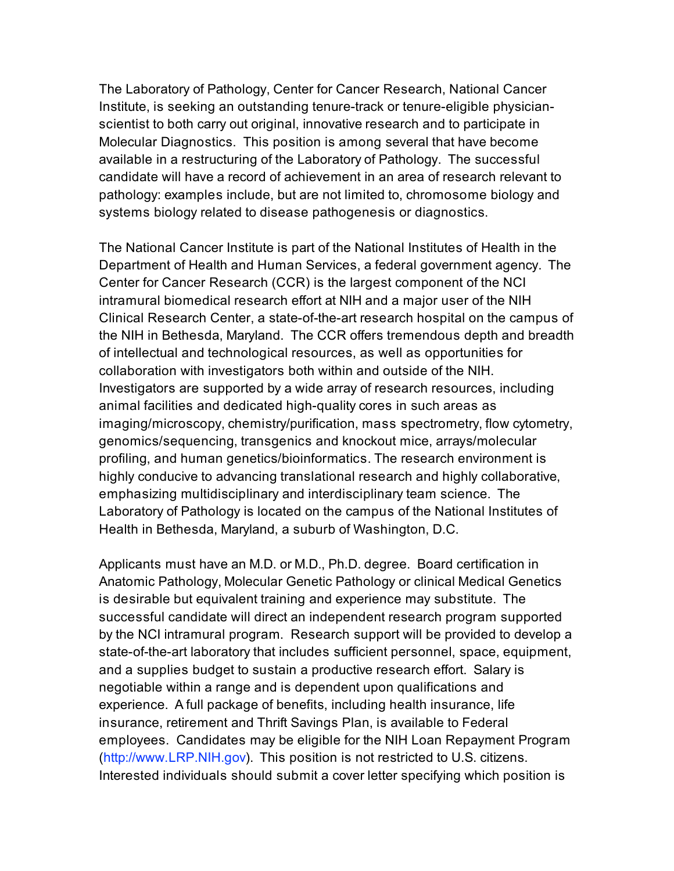The Laboratory of Pathology, Center for Cancer Research, National Cancer Institute, is seeking an outstanding tenure-track or tenure-eligible physicianscientist to both carry out original, innovative research and to participate in Molecular Diagnostics. This position is among several that have become available in a restructuring of the Laboratory of Pathology. The successful candidate will have a record of achievement in an area of research relevant to pathology: examples include, but are not limited to, chromosome biology and systems biology related to disease pathogenesis or diagnostics.

The National Cancer Institute is part of the National Institutes of Health in the Department of Health and Human Services, a federal government agency. The Center for Cancer Research (CCR) is the largest component of the NCI intramural biomedical research effort at NIH and a major user of the NIH Clinical Research Center, a state-of-the-art research hospital on the campus of the NIH in Bethesda, Maryland. The CCR offers tremendous depth and breadth of intellectual and technological resources, as well as opportunities for collaboration with investigators both within and outside of the NIH. Investigators are supported by a wide array of research resources, including animal facilities and dedicated high-quality cores in such areas as imaging/microscopy, chemistry/purification, mass spectrometry, flow cytometry, genomics/sequencing, transgenics and knockout mice, arrays/molecular profiling, and human genetics/bioinformatics. The research environment is highly conducive to advancing translational research and highly collaborative, emphasizing multidisciplinary and interdisciplinary team science. The Laboratory of Pathology is located on the campus of the National Institutes of Health in Bethesda, Maryland, a suburb of Washington, D.C.

Applicants must have an M.D. or M.D., Ph.D. degree. Board certification in Anatomic Pathology, Molecular Genetic Pathology or clinical Medical Genetics is desirable but equivalent training and experience may substitute. The successful candidate will direct an independent research program supported by the NCI intramural program. Research support will be provided to develop a state-of-the-art laboratory that includes sufficient personnel, space, equipment, and a supplies budget to sustain a productive research effort. Salary is negotiable within a range and is dependent upon qualifications and experience. A full package of benefits, including health insurance, life insurance, retirement and Thrift Savings Plan, is available to Federal employees. Candidates may be eligible for the NIH Loan Repayment Program (http://www.LRP.NIH.gov). This position is not restricted to U.S. citizens. Interested individuals should submit a cover letter specifying which position is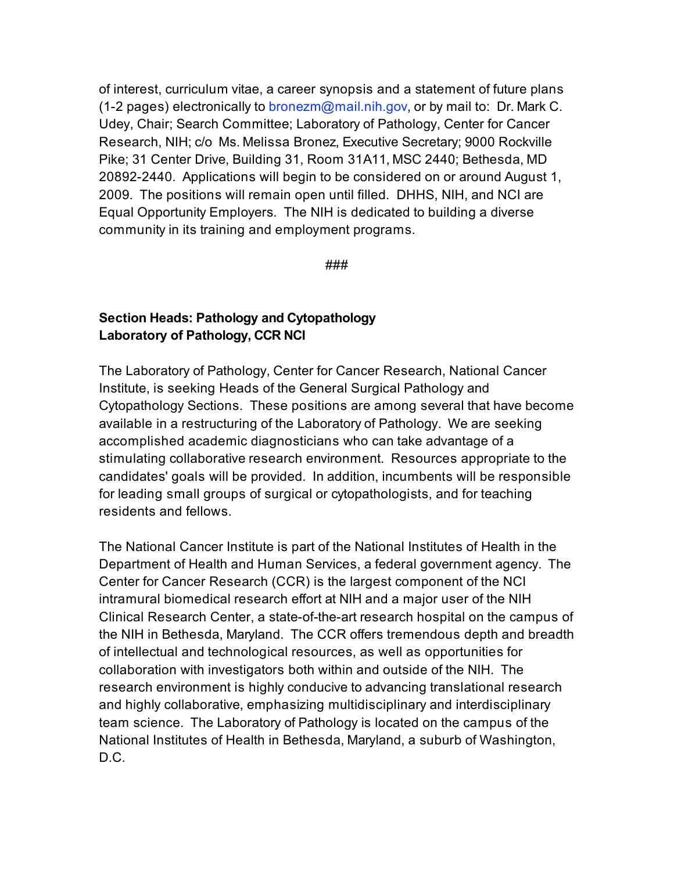of interest, curriculum vitae, a career synopsis and a statement of future plans (1-2 pages) electronically to bronezm@mail.nih.gov, or by mail to: Dr. Mark C. Udey, Chair; Search Committee; Laboratory of Pathology, Center for Cancer Research, NIH; c/o Ms. Melissa Bronez, Executive Secretary; 9000 Rockville Pike; 31 Center Drive, Building 31, Room 31A11, MSC 2440; Bethesda, MD 20892-2440. Applications will begin to be considered on or around August 1, 2009. The positions will remain open until filled. DHHS, NIH, and NCI are Equal Opportunity Employers. The NIH is dedicated to building a diverse community in its training and employment programs.

###

### **Section Heads: Pathology and Cytopathology Laboratory of Pathology, CCR NCI**

The Laboratory of Pathology, Center for Cancer Research, National Cancer Institute, is seeking Heads of the General Surgical Pathology and Cytopathology Sections. These positions are among several that have become available in a restructuring of the Laboratory of Pathology. We are seeking accomplished academic diagnosticians who can take advantage of a stimulating collaborative research environment. Resources appropriate to the candidates' goals will be provided. In addition, incumbents will be responsible for leading small groups of surgical or cytopathologists, and for teaching residents and fellows.

The National Cancer Institute is part of the National Institutes of Health in the Department of Health and Human Services, a federal government agency. The Center for Cancer Research (CCR) is the largest component of the NCI intramural biomedical research effort at NIH and a major user of the NIH Clinical Research Center, a state-of-the-art research hospital on the campus of the NIH in Bethesda, Maryland. The CCR offers tremendous depth and breadth of intellectual and technological resources, as well as opportunities for collaboration with investigators both within and outside of the NIH. The research environment is highly conducive to advancing translational research and highly collaborative, emphasizing multidisciplinary and interdisciplinary team science. The Laboratory of Pathology is located on the campus of the National Institutes of Health in Bethesda, Maryland, a suburb of Washington, D.C.